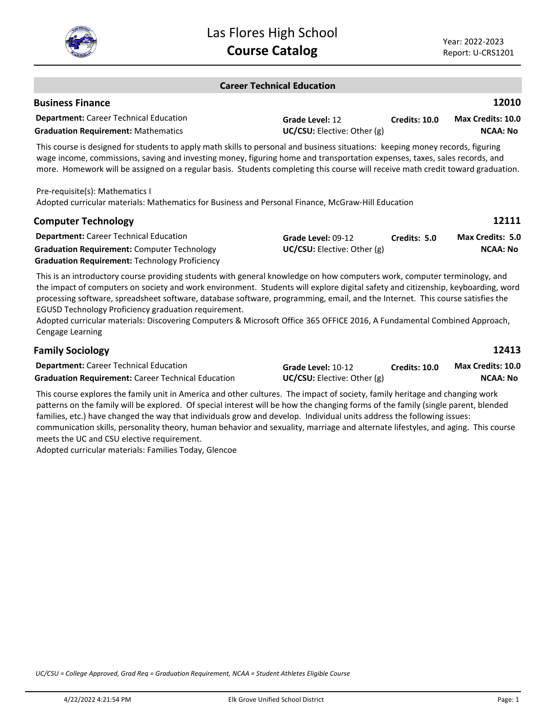

| <b>Career Technical Education</b> |  |
|-----------------------------------|--|
|-----------------------------------|--|

| <b>Business Finance</b>                       |                                      |               | 12010                    |
|-----------------------------------------------|--------------------------------------|---------------|--------------------------|
| <b>Department:</b> Career Technical Education | Grade Level: 12                      | Credits: 10.0 | <b>Max Credits: 10.0</b> |
| <b>Graduation Requirement: Mathematics</b>    | <b>UC/CSU:</b> Elective: Other $(g)$ |               | NCAA: No                 |
|                                               |                                      |               |                          |

This course is designed for students to apply math skills to personal and business situations: keeping money records, figuring wage income, commissions, saving and investing money, figuring home and transportation expenses, taxes, sales records, and more. Homework will be assigned on a regular basis. Students completing this course will receive math credit toward graduation.

Pre-requisite(s): Mathematics I Adopted curricular materials: Mathematics for Business and Personal Finance, McGraw-Hill Education

| <b>Computer Technology</b>                            |                                 |              | 12111                   |
|-------------------------------------------------------|---------------------------------|--------------|-------------------------|
| <b>Department:</b> Career Technical Education         | Grade Level: 09-12              | Credits: 5.0 | <b>Max Credits: 5.0</b> |
| <b>Graduation Requirement: Computer Technology</b>    | $UC/CSU:$ Elective: Other $(g)$ |              | <b>NCAA: No</b>         |
| <b>Graduation Requirement: Technology Proficiency</b> |                                 |              |                         |

This is an introductory course providing students with general knowledge on how computers work, computer terminology, and the impact of computers on society and work environment. Students will explore digital safety and citizenship, keyboarding, word processing software, spreadsheet software, database software, programming, email, and the Internet. This course satisfies the EGUSD Technology Proficiency graduation requirement.

Adopted curricular materials: Discovering Computers & Microsoft Office 365 OFFICE 2016, A Fundamental Combined Approach, Cengage Learning

|                                      |                      | 12413                    |
|--------------------------------------|----------------------|--------------------------|
| Grade Level: 10-12                   | <b>Credits: 10.0</b> | <b>Max Credits: 10.0</b> |
| <b>UC/CSU:</b> Elective: Other $(g)$ |                      | NCAA: No                 |
|                                      |                      |                          |

This course explores the family unit in America and other cultures. The impact of society, family heritage and changing work patterns on the family will be explored. Of special interest will be how the changing forms of the family (single parent, blended families, etc.) have changed the way that individuals grow and develop. Individual units address the following issues: communication skills, personality theory, human behavior and sexuality, marriage and alternate lifestyles, and aging. This course meets the UC and CSU elective requirement.

Adopted curricular materials: Families Today, Glencoe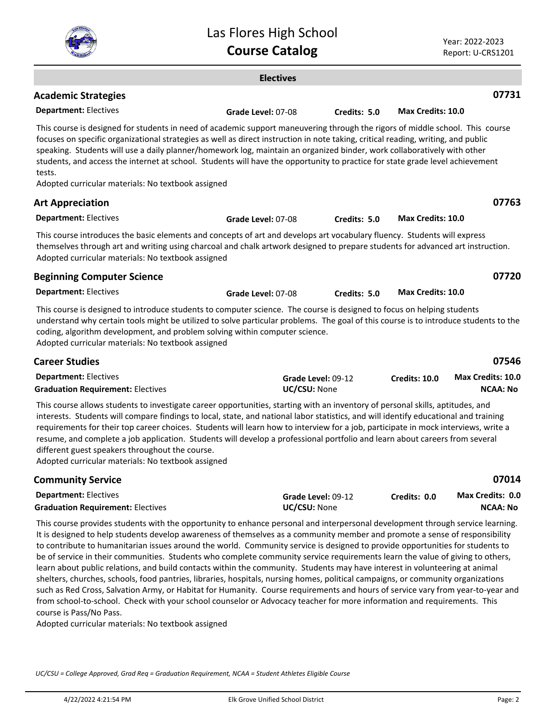|                                                                                                                                                                                                                                                                                                                                                                                                                                                                                                                                                                                                                                                                                                                                                                                                    | Las Flores High School<br><b>Course Catalog</b> |                    |                          | Year: 2022-2023<br>Report: U-CRS1201 |
|----------------------------------------------------------------------------------------------------------------------------------------------------------------------------------------------------------------------------------------------------------------------------------------------------------------------------------------------------------------------------------------------------------------------------------------------------------------------------------------------------------------------------------------------------------------------------------------------------------------------------------------------------------------------------------------------------------------------------------------------------------------------------------------------------|-------------------------------------------------|--------------------|--------------------------|--------------------------------------|
|                                                                                                                                                                                                                                                                                                                                                                                                                                                                                                                                                                                                                                                                                                                                                                                                    | <b>Electives</b>                                |                    |                          |                                      |
| <b>Academic Strategies</b>                                                                                                                                                                                                                                                                                                                                                                                                                                                                                                                                                                                                                                                                                                                                                                         |                                                 |                    |                          | 07731                                |
| <b>Department: Electives</b>                                                                                                                                                                                                                                                                                                                                                                                                                                                                                                                                                                                                                                                                                                                                                                       | Grade Level: 07-08                              | Credits: 5.0       | <b>Max Credits: 10.0</b> |                                      |
| This course is designed for students in need of academic support maneuvering through the rigors of middle school. This course<br>focuses on specific organizational strategies as well as direct instruction in note taking, critical reading, writing, and public<br>speaking. Students will use a daily planner/homework log, maintain an organized binder, work collaboratively with other<br>students, and access the internet at school. Students will have the opportunity to practice for state grade level achievement<br>tests.<br>Adopted curricular materials: No textbook assigned                                                                                                                                                                                                     |                                                 |                    |                          |                                      |
| <b>Art Appreciation</b>                                                                                                                                                                                                                                                                                                                                                                                                                                                                                                                                                                                                                                                                                                                                                                            |                                                 |                    |                          | 07763                                |
| <b>Department: Electives</b>                                                                                                                                                                                                                                                                                                                                                                                                                                                                                                                                                                                                                                                                                                                                                                       | Grade Level: 07-08                              | Credits: 5.0       | Max Credits: 10.0        |                                      |
| This course introduces the basic elements and concepts of art and develops art vocabulary fluency. Students will express<br>themselves through art and writing using charcoal and chalk artwork designed to prepare students for advanced art instruction.<br>Adopted curricular materials: No textbook assigned                                                                                                                                                                                                                                                                                                                                                                                                                                                                                   |                                                 |                    |                          |                                      |
| <b>Beginning Computer Science</b>                                                                                                                                                                                                                                                                                                                                                                                                                                                                                                                                                                                                                                                                                                                                                                  |                                                 |                    |                          | 07720                                |
| <b>Department: Electives</b>                                                                                                                                                                                                                                                                                                                                                                                                                                                                                                                                                                                                                                                                                                                                                                       | Grade Level: 07-08                              | Credits: 5.0       | Max Credits: 10.0        |                                      |
| This course is designed to introduce students to computer science. The course is designed to focus on helping students<br>understand why certain tools might be utilized to solve particular problems. The goal of this course is to introduce students to the<br>coding, algorithm development, and problem solving within computer science.<br>Adopted curricular materials: No textbook assigned                                                                                                                                                                                                                                                                                                                                                                                                |                                                 |                    |                          |                                      |
| <b>Career Studies</b>                                                                                                                                                                                                                                                                                                                                                                                                                                                                                                                                                                                                                                                                                                                                                                              |                                                 |                    |                          | 07546                                |
| <b>Department: Electives</b>                                                                                                                                                                                                                                                                                                                                                                                                                                                                                                                                                                                                                                                                                                                                                                       |                                                 | Grade Level: 09-12 | Credits: 10.0            | Max Credits: 10.0                    |
| <b>Graduation Requirement: Electives</b>                                                                                                                                                                                                                                                                                                                                                                                                                                                                                                                                                                                                                                                                                                                                                           | UC/CSU: None                                    |                    |                          | <b>NCAA: No</b>                      |
| This course allows students to investigate career opportunities, starting with an inventory of personal skills, aptitudes, and<br>interests. Students will compare findings to local, state, and national labor statistics, and will identify educational and training<br>requirements for their top career choices. Students will learn how to interview for a job, participate in mock interviews, write a<br>resume, and complete a job application. Students will develop a professional portfolio and learn about careers from several<br>different guest speakers throughout the course.<br>Adopted curricular materials: No textbook assigned                                                                                                                                               |                                                 |                    |                          |                                      |
| <b>Community Service</b>                                                                                                                                                                                                                                                                                                                                                                                                                                                                                                                                                                                                                                                                                                                                                                           |                                                 |                    |                          | 07014                                |
| <b>Department: Electives</b>                                                                                                                                                                                                                                                                                                                                                                                                                                                                                                                                                                                                                                                                                                                                                                       |                                                 | Grade Level: 09-12 | Credits: 0.0             | Max Credits: 0.0                     |
| <b>Graduation Requirement: Electives</b>                                                                                                                                                                                                                                                                                                                                                                                                                                                                                                                                                                                                                                                                                                                                                           | UC/CSU: None                                    |                    |                          | <b>NCAA: No</b>                      |
| This course provides students with the opportunity to enhance personal and interpersonal development through service learning.<br>It is designed to help students develop awareness of themselves as a community member and promote a sense of responsibility<br>to contribute to humanitarian issues around the world. Community service is designed to provide opportunities for students to<br>be of service in their communities. Students who complete community service requirements learn the value of giving to others,<br>learn about public relations, and build contacts within the community. Students may have interest in volunteering at animal<br>shelters, churches, schools, food pantries, libraries, hospitals, nursing homes, political campaigns, or community organizations |                                                 |                    |                          |                                      |

course is Pass/No Pass. Adopted curricular materials: No textbook assigned

*UC/CSU = College Approved, Grad Req = Graduation Requirement, NCAA = Student Athletes Eligible Course*

Lus Flores

such as Red Cross, Salvation Army, or Habitat for Humanity. Course requirements and hours of service vary from year-to-year and from school-to-school. Check with your school counselor or Advocacy teacher for more information and requirements. This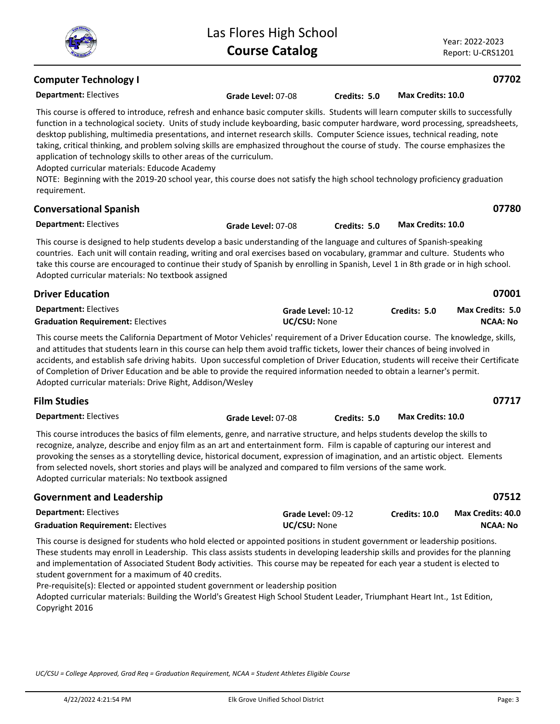| <b>Computer Technology I</b>                                                                                                                                                                                                                                                                                                                                                                                                                                                                                                                                                                                                                                                                                                                                                                                     |                    |                    |                          | 07702                                       |
|------------------------------------------------------------------------------------------------------------------------------------------------------------------------------------------------------------------------------------------------------------------------------------------------------------------------------------------------------------------------------------------------------------------------------------------------------------------------------------------------------------------------------------------------------------------------------------------------------------------------------------------------------------------------------------------------------------------------------------------------------------------------------------------------------------------|--------------------|--------------------|--------------------------|---------------------------------------------|
| <b>Department: Electives</b>                                                                                                                                                                                                                                                                                                                                                                                                                                                                                                                                                                                                                                                                                                                                                                                     | Grade Level: 07-08 | Credits: 5.0       | Max Credits: 10.0        |                                             |
| This course is offered to introduce, refresh and enhance basic computer skills. Students will learn computer skills to successfully<br>function in a technological society. Units of study include keyboarding, basic computer hardware, word processing, spreadsheets,<br>desktop publishing, multimedia presentations, and internet research skills. Computer Science issues, technical reading, note<br>taking, critical thinking, and problem solving skills are emphasized throughout the course of study. The course emphasizes the<br>application of technology skills to other areas of the curriculum.<br>Adopted curricular materials: Educode Academy<br>NOTE: Beginning with the 2019-20 school year, this course does not satisfy the high school technology proficiency graduation<br>requirement. |                    |                    |                          |                                             |
| <b>Conversational Spanish</b>                                                                                                                                                                                                                                                                                                                                                                                                                                                                                                                                                                                                                                                                                                                                                                                    |                    |                    |                          | 07780                                       |
| <b>Department: Electives</b>                                                                                                                                                                                                                                                                                                                                                                                                                                                                                                                                                                                                                                                                                                                                                                                     | Grade Level: 07-08 | Credits: 5.0       | Max Credits: 10.0        |                                             |
| This course is designed to help students develop a basic understanding of the language and cultures of Spanish-speaking<br>countries. Each unit will contain reading, writing and oral exercises based on vocabulary, grammar and culture. Students who<br>take this course are encouraged to continue their study of Spanish by enrolling in Spanish, Level 1 in 8th grade or in high school.<br>Adopted curricular materials: No textbook assigned                                                                                                                                                                                                                                                                                                                                                             |                    |                    |                          |                                             |
| <b>Driver Education</b>                                                                                                                                                                                                                                                                                                                                                                                                                                                                                                                                                                                                                                                                                                                                                                                          |                    |                    |                          | 07001                                       |
| <b>Department: Electives</b><br><b>Graduation Requirement: Electives</b>                                                                                                                                                                                                                                                                                                                                                                                                                                                                                                                                                                                                                                                                                                                                         | UC/CSU: None       | Grade Level: 10-12 | Credits: 5.0             | Max Credits: 5.0<br><b>NCAA: No</b>         |
| This course meets the California Department of Motor Vehicles' requirement of a Driver Education course. The knowledge, skills,<br>and attitudes that students learn in this course can help them avoid traffic tickets, lower their chances of being involved in<br>accidents, and establish safe driving habits. Upon successful completion of Driver Education, students will receive their Certificate<br>of Completion of Driver Education and be able to provide the required information needed to obtain a learner's permit.<br>Adopted curricular materials: Drive Right, Addison/Wesley                                                                                                                                                                                                                |                    |                    |                          |                                             |
| <b>Film Studies</b>                                                                                                                                                                                                                                                                                                                                                                                                                                                                                                                                                                                                                                                                                                                                                                                              |                    |                    |                          | 07717                                       |
| <b>Department: Electives</b>                                                                                                                                                                                                                                                                                                                                                                                                                                                                                                                                                                                                                                                                                                                                                                                     | Grade Level: 07-08 | Credits: 5.0       | <b>Max Credits: 10.0</b> |                                             |
| This course introduces the basics of film elements, genre, and narrative structure, and helps students develop the skills to<br>recognize, analyze, describe and enjoy film as an art and entertainment form. Film is capable of capturing our interest and<br>provoking the senses as a storytelling device, historical document, expression of imagination, and an artistic object. Elements<br>from selected novels, short stories and plays will be analyzed and compared to film versions of the same work.<br>Adopted curricular materials: No textbook assigned                                                                                                                                                                                                                                           |                    |                    |                          |                                             |
| <b>Government and Leadership</b>                                                                                                                                                                                                                                                                                                                                                                                                                                                                                                                                                                                                                                                                                                                                                                                 |                    |                    |                          | 07512                                       |
| <b>Department: Electives</b><br><b>Graduation Requirement: Electives</b>                                                                                                                                                                                                                                                                                                                                                                                                                                                                                                                                                                                                                                                                                                                                         | UC/CSU: None       | Grade Level: 09-12 | Credits: 10.0            | <b>Max Credits: 40.0</b><br><b>NCAA: No</b> |
| This course is designed for students who hold elected or appointed positions in student government or leadership positions.                                                                                                                                                                                                                                                                                                                                                                                                                                                                                                                                                                                                                                                                                      |                    |                    |                          |                                             |

Las Flores High School **Course Catalog**

These students may enroll in Leadership. This class assists students in developing leadership skills and provides for the planning and implementation of Associated Student Body activities. This course may be repeated for each year a student is elected to student government for a maximum of 40 credits.

Pre-requisite(s): Elected or appointed student government or leadership position Adopted curricular materials: Building the World's Greatest High School Student Leader, Triumphant Heart Int., 1st Edition, Copyright 2016

Year: 2022-2023 Report: U-CRS1201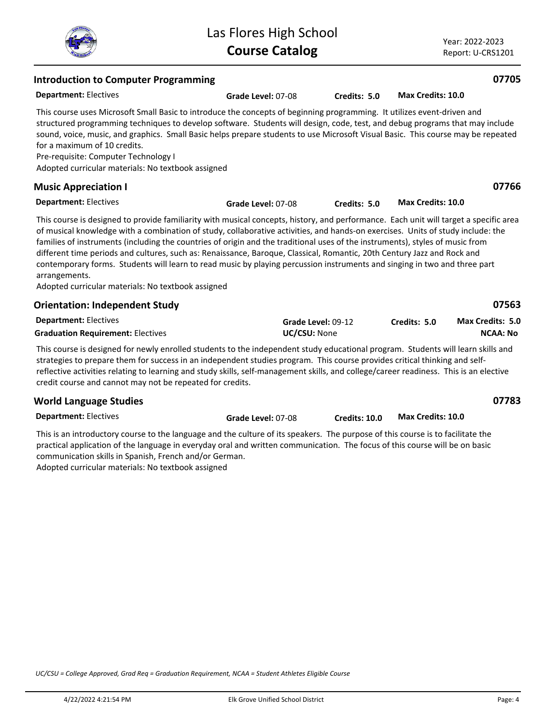| Las Flores High School |
|------------------------|
| <b>Course Catalog</b>  |

Year: 2022-2023 Report: U-CRS1201

| <b>Introduction to Computer Programming</b>                                                                                                                                                                                                                                                                                                                                                                                                                                                                                                                                                                                                                                                                                              |                                    |                      |                          | 07705                               |
|------------------------------------------------------------------------------------------------------------------------------------------------------------------------------------------------------------------------------------------------------------------------------------------------------------------------------------------------------------------------------------------------------------------------------------------------------------------------------------------------------------------------------------------------------------------------------------------------------------------------------------------------------------------------------------------------------------------------------------------|------------------------------------|----------------------|--------------------------|-------------------------------------|
| <b>Department: Electives</b>                                                                                                                                                                                                                                                                                                                                                                                                                                                                                                                                                                                                                                                                                                             | Grade Level: 07-08                 | Credits: 5.0         | <b>Max Credits: 10.0</b> |                                     |
| This course uses Microsoft Small Basic to introduce the concepts of beginning programming. It utilizes event-driven and<br>structured programming techniques to develop software. Students will design, code, test, and debug programs that may include<br>sound, voice, music, and graphics. Small Basic helps prepare students to use Microsoft Visual Basic. This course may be repeated<br>for a maximum of 10 credits.<br>Pre-requisite: Computer Technology I<br>Adopted curricular materials: No textbook assigned                                                                                                                                                                                                                |                                    |                      |                          |                                     |
| <b>Music Appreciation I</b>                                                                                                                                                                                                                                                                                                                                                                                                                                                                                                                                                                                                                                                                                                              |                                    |                      |                          | 07766                               |
| <b>Department: Electives</b>                                                                                                                                                                                                                                                                                                                                                                                                                                                                                                                                                                                                                                                                                                             | Grade Level: 07-08                 | Credits: 5.0         | <b>Max Credits: 10.0</b> |                                     |
| This course is designed to provide familiarity with musical concepts, history, and performance. Each unit will target a specific area<br>of musical knowledge with a combination of study, collaborative activities, and hands-on exercises. Units of study include: the<br>families of instruments (including the countries of origin and the traditional uses of the instruments), styles of music from<br>different time periods and cultures, such as: Renaissance, Baroque, Classical, Romantic, 20th Century Jazz and Rock and<br>contemporary forms. Students will learn to read music by playing percussion instruments and singing in two and three part<br>arrangements.<br>Adopted curricular materials: No textbook assigned |                                    |                      |                          |                                     |
| <b>Orientation: Independent Study</b>                                                                                                                                                                                                                                                                                                                                                                                                                                                                                                                                                                                                                                                                                                    |                                    |                      |                          | 07563                               |
| <b>Department: Electives</b><br><b>Graduation Requirement: Electives</b>                                                                                                                                                                                                                                                                                                                                                                                                                                                                                                                                                                                                                                                                 | Grade Level: 09-12<br>UC/CSU: None |                      | Credits: 5.0             | Max Credits: 5.0<br><b>NCAA: No</b> |
| This course is designed for newly enrolled students to the independent study educational program. Students will learn skills and<br>strategies to prepare them for success in an independent studies program. This course provides critical thinking and self-<br>reflective activities relating to learning and study skills, self-management skills, and college/career readiness. This is an elective<br>credit course and cannot may not be repeated for credits.                                                                                                                                                                                                                                                                    |                                    |                      |                          |                                     |
| <b>World Language Studies</b>                                                                                                                                                                                                                                                                                                                                                                                                                                                                                                                                                                                                                                                                                                            |                                    |                      |                          | 07783                               |
| <b>Department: Electives</b>                                                                                                                                                                                                                                                                                                                                                                                                                                                                                                                                                                                                                                                                                                             | Grade Level: 07-08                 | <b>Credits: 10.0</b> | Max Credits: 10.0        |                                     |
| This is an introductory course to the language and the culture of its speakers. The purpose of this course is to facilitate the<br>practical application of the language in everyday oral and written communication. The focus of this course will be on basic<br>communication skills in Spanish, French and/or German.                                                                                                                                                                                                                                                                                                                                                                                                                 |                                    |                      |                          |                                     |

Adopted curricular materials: No textbook assigned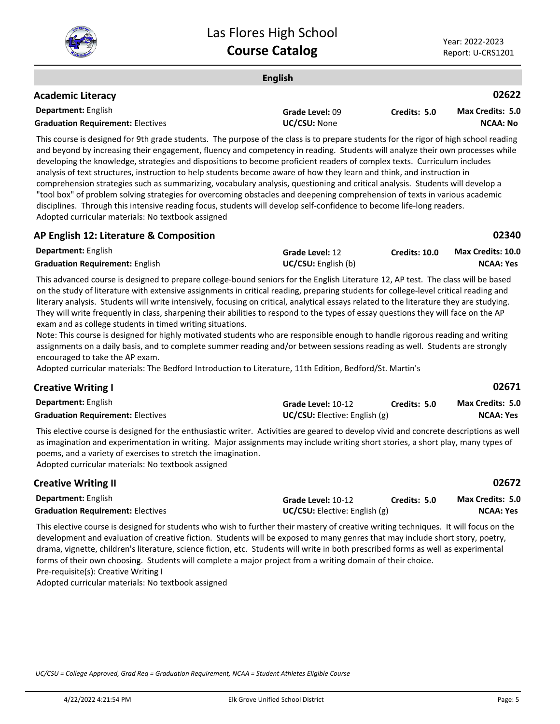

**02671**

|                                                                                                                                      | <b>English</b>  |              |                         |
|--------------------------------------------------------------------------------------------------------------------------------------|-----------------|--------------|-------------------------|
| <b>Academic Literacy</b>                                                                                                             |                 |              | 02622                   |
| <b>Department: English</b>                                                                                                           | Grade Level: 09 | Credits: 5.0 | <b>Max Credits: 5.0</b> |
| <b>Graduation Requirement: Electives</b>                                                                                             | UC/CSU: None    |              | NCAA: No                |
| This course is designed for 0th grade students. The numero of the close is to prepare students for the rigar of bigh school reading. |                 |              |                         |

This course is designed for 9th grade students. The purpose of the class is to prepare students for the rigor of high school reading and beyond by increasing their engagement, fluency and competency in reading. Students will analyze their own processes while developing the knowledge, strategies and dispositions to become proficient readers of complex texts. Curriculum includes analysis of text structures, instruction to help students become aware of how they learn and think, and instruction in comprehension strategies such as summarizing, vocabulary analysis, questioning and critical analysis. Students will develop a "tool box" of problem solving strategies for overcoming obstacles and deepening comprehension of texts in various academic disciplines. Through this intensive reading focus, students will develop self-confidence to become life-long readers. Adopted curricular materials: No textbook assigned

| הו בחגמטח בב. בתכונותו כ ש <i>כ</i> טוח מטומטח |                            |                      | ----                     |
|------------------------------------------------|----------------------------|----------------------|--------------------------|
| <b>Department:</b> English                     | <b>Grade Level: 12</b>     | <b>Credits: 10.0</b> | <b>Max Credits: 10.0</b> |
| <b>Graduation Requirement: English</b>         | <b>UC/CSU:</b> English (b) |                      | NCAA: Yes                |

This advanced course is designed to prepare college-bound seniors for the English Literature 12, AP test. The class will be based on the study of literature with extensive assignments in critical reading, preparing students for college-level critical reading and literary analysis. Students will write intensively, focusing on critical, analytical essays related to the literature they are studying. They will write frequently in class, sharpening their abilities to respond to the types of essay questions they will face on the AP exam and as college students in timed writing situations.

Note: This course is designed for highly motivated students who are responsible enough to handle rigorous reading and writing assignments on a daily basis, and to complete summer reading and/or between sessions reading as well. Students are strongly encouraged to take the AP exam.

Adopted curricular materials: The Bedford Introduction to Literature, 11th Edition, Bedford/St. Martin's

| <b>Department: English</b>               | Grade Level: 10-12                   | Credits: 5.0 | <b>Max Credits: 5.0</b> |
|------------------------------------------|--------------------------------------|--------------|-------------------------|
| <b>Graduation Requirement: Electives</b> | <b>UC/CSU:</b> Elective: English (g) |              | NCAA: Yes               |

This elective course is designed for the enthusiastic writer. Activities are geared to develop vivid and concrete descriptions as well as imagination and experimentation in writing. Major assignments may include writing short stories, a short play, many types of poems, and a variety of exercises to stretch the imagination.

Adopted curricular materials: No textbook assigned

**AP English 12: Literature & Composition**

| <b>Creative Writing II</b>               |                                        |              | 02672                   |
|------------------------------------------|----------------------------------------|--------------|-------------------------|
| <b>Department:</b> English               | Grade Level: 10-12                     | Credits: 5.0 | <b>Max Credits: 5.0</b> |
| <b>Graduation Requirement: Electives</b> | <b>UC/CSU:</b> Elective: English $(g)$ |              | NCAA: Yes               |

This elective course is designed for students who wish to further their mastery of creative writing techniques. It will focus on the development and evaluation of creative fiction. Students will be exposed to many genres that may include short story, poetry, drama, vignette, children's literature, science fiction, etc. Students will write in both prescribed forms as well as experimental forms of their own choosing. Students will complete a major project from a writing domain of their choice. Pre-requisite(s): Creative Writing I

Adopted curricular materials: No textbook assigned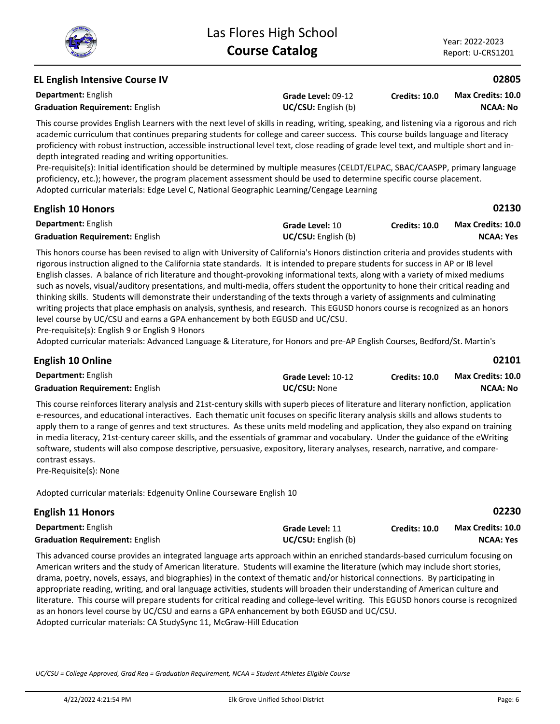**NCAA: No Max Credits: 10.0**

### **EL English Intensive Course IV**

**Department:** English **Grade Level:** 09-12 **Graduation Requirement:** English **English UC/CSU:** English (b) **Credits: 10.0**

This course provides English Learners with the next level of skills in reading, writing, speaking, and listening via a rigorous and rich academic curriculum that continues preparing students for college and career success. This course builds language and literacy proficiency with robust instruction, accessible instructional level text, close reading of grade level text, and multiple short and indepth integrated reading and writing opportunities.

Pre-requisite(s): Initial identification should be determined by multiple measures (CELDT/ELPAC, SBAC/CAASPP, primary language proficiency, etc.); however, the program placement assessment should be used to determine specific course placement. Adopted curricular materials: Edge Level C, National Geographic Learning/Cengage Learning

| <b>English 10 Honors</b>               |                            |               | 02130                    |  |
|----------------------------------------|----------------------------|---------------|--------------------------|--|
| <b>Department:</b> English             | Grade Level: 10            | Credits: 10.0 | <b>Max Credits: 10.0</b> |  |
| <b>Graduation Requirement: English</b> | <b>UC/CSU:</b> English (b) |               | NCAA: Yes                |  |

This honors course has been revised to align with University of California's Honors distinction criteria and provides students with rigorous instruction aligned to the California state standards. It is intended to prepare students for success in AP or IB level English classes. A balance of rich literature and thought-provoking informational texts, along with a variety of mixed mediums such as novels, visual/auditory presentations, and multi-media, offers student the opportunity to hone their critical reading and thinking skills. Students will demonstrate their understanding of the texts through a variety of assignments and culminating writing projects that place emphasis on analysis, synthesis, and research. This EGUSD honors course is recognized as an honors level course by UC/CSU and earns a GPA enhancement by both EGUSD and UC/CSU.

Pre-requisite(s): English 9 or English 9 Honors

Adopted curricular materials: Advanced Language & Literature, for Honors and pre-AP English Courses, Bedford/St. Martin's

| <b>English 10 Online</b>               |                     |                      | 02101                    |  |
|----------------------------------------|---------------------|----------------------|--------------------------|--|
| <b>Department:</b> English             | Grade Level: 10-12  | <b>Credits: 10.0</b> | <b>Max Credits: 10.0</b> |  |
| <b>Graduation Requirement: English</b> | <b>UC/CSU: None</b> |                      | NCAA: No                 |  |

This course reinforces literary analysis and 21st-century skills with superb pieces of literature and literary nonfiction, application e-resources, and educational interactives. Each thematic unit focuses on specific literary analysis skills and allows students to apply them to a range of genres and text structures. As these units meld modeling and application, they also expand on training in media literacy, 21st-century career skills, and the essentials of grammar and vocabulary. Under the guidance of the eWriting software, students will also compose descriptive, persuasive, expository, literary analyses, research, narrative, and comparecontrast essays.

Pre-Requisite(s): None

Adopted curricular materials: Edgenuity Online Courseware English 10

| <b>English 11 Honors</b>               |                            |                      | 02230                    |
|----------------------------------------|----------------------------|----------------------|--------------------------|
| <b>Department:</b> English             | Grade Level: 11            | <b>Credits: 10.0</b> | <b>Max Credits: 10.0</b> |
| <b>Graduation Requirement: English</b> | <b>UC/CSU:</b> English (b) |                      | NCAA: Yes                |

This advanced course provides an integrated language arts approach within an enriched standards-based curriculum focusing on American writers and the study of American literature. Students will examine the literature (which may include short stories, drama, poetry, novels, essays, and biographies) in the context of thematic and/or historical connections. By participating in appropriate reading, writing, and oral language activities, students will broaden their understanding of American culture and literature. This course will prepare students for critical reading and college-level writing. This EGUSD honors course is recognized as an honors level course by UC/CSU and earns a GPA enhancement by both EGUSD and UC/CSU. Adopted curricular materials: CA StudySync 11, McGraw-Hill Education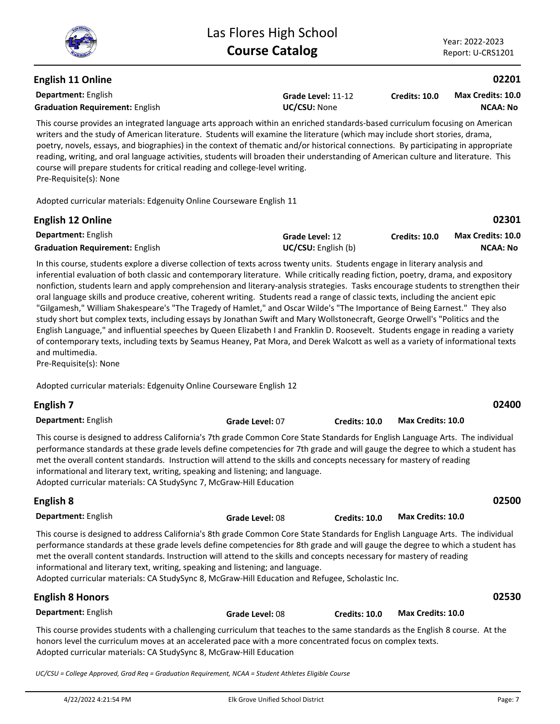# **English 11 Online**

**Department:** English **Graduation Requirement:** English **UC/CSU:** None

**Grade Level:** 11-12

**Credits: 10.0 NCAA: No Max Credits: 10.0**

This course provides an integrated language arts approach within an enriched standards-based curriculum focusing on American writers and the study of American literature. Students will examine the literature (which may include short stories, drama, poetry, novels, essays, and biographies) in the context of thematic and/or historical connections. By participating in appropriate reading, writing, and oral language activities, students will broaden their understanding of American culture and literature. This course will prepare students for critical reading and college-level writing. Pre-Requisite(s): None

Adopted curricular materials: Edgenuity Online Courseware English 11

| <b>English 12 Online</b>               |                            |               | 02301                    |
|----------------------------------------|----------------------------|---------------|--------------------------|
| <b>Department:</b> English             | Grade Level: 12            | Credits: 10.0 | <b>Max Credits: 10.0</b> |
| <b>Graduation Requirement: English</b> | <b>UC/CSU:</b> English (b) |               | NCAA: No                 |

In this course, students explore a diverse collection of texts across twenty units. Students engage in literary analysis and inferential evaluation of both classic and contemporary literature. While critically reading fiction, poetry, drama, and expository nonfiction, students learn and apply comprehension and literary-analysis strategies. Tasks encourage students to strengthen their oral language skills and produce creative, coherent writing. Students read a range of classic texts, including the ancient epic "Gilgamesh," William Shakespeare's "The Tragedy of Hamlet," and Oscar Wilde's "The Importance of Being Earnest." They also study short but complex texts, including essays by Jonathan Swift and Mary Wollstonecraft, George Orwell's "Politics and the English Language," and influential speeches by Queen Elizabeth I and Franklin D. Roosevelt. Students engage in reading a variety of contemporary texts, including texts by Seamus Heaney, Pat Mora, and Derek Walcott as well as a variety of informational texts and multimedia.

Pre-Requisite(s): None

Adopted curricular materials: Edgenuity Online Courseware English 12

| English 7                                                                                                                                                                                                                                                                                                                                                                                                                                                                                                                                             |                 |               |                   | 02400 |
|-------------------------------------------------------------------------------------------------------------------------------------------------------------------------------------------------------------------------------------------------------------------------------------------------------------------------------------------------------------------------------------------------------------------------------------------------------------------------------------------------------------------------------------------------------|-----------------|---------------|-------------------|-------|
| <b>Department: English</b>                                                                                                                                                                                                                                                                                                                                                                                                                                                                                                                            | Grade Level: 07 | Credits: 10.0 | Max Credits: 10.0 |       |
| This course is designed to address California's 7th grade Common Core State Standards for English Language Arts. The individual<br>performance standards at these grade levels define competencies for 7th grade and will gauge the degree to which a student has<br>met the overall content standards. Instruction will attend to the skills and concepts necessary for mastery of reading<br>informational and literary text, writing, speaking and listening; and language.<br>Adopted curricular materials: CA StudySync 7, McGraw-Hill Education |                 |               |                   |       |
| English 8                                                                                                                                                                                                                                                                                                                                                                                                                                                                                                                                             |                 |               |                   | 02500 |

| <b>Department:</b> English                                                                                                      | Grade Level: 08 | <b>Credits: 10.0</b> | Max Credits: 10.0 |  |
|---------------------------------------------------------------------------------------------------------------------------------|-----------------|----------------------|-------------------|--|
| This course is designed to address California's 8th grade Common Core State Standards for English Language Arts. The individual |                 |                      |                   |  |
| performance standards at these grade levels define competencies for 8th grade and will gauge the degree to which a student has  |                 |                      |                   |  |

performance standards at these grade levels define competencies for 8th grade and will gauge the degree to which a student has met the overall content standards. Instruction will attend to the skills and concepts necessary for mastery of reading informational and literary text, writing, speaking and listening; and language.

Adopted curricular materials: CA StudySync 8, McGraw-Hill Education and Refugee, Scholastic Inc.

### **Department:** English This course provides students with a challenging curriculum that teaches to the same standards as the English 8 course. At the honors level the curriculum moves at an accelerated pace with a more concentrated focus on complex texts. Adopted curricular materials: CA StudySync 8, McGraw-Hill Education **English 8 Honors Grade Level:** 08 **Credits: 10.0 Max Credits: 10.0**

*UC/CSU = College Approved, Grad Req = Graduation Requirement, NCAA = Student Athletes Eligible Course*

**02530**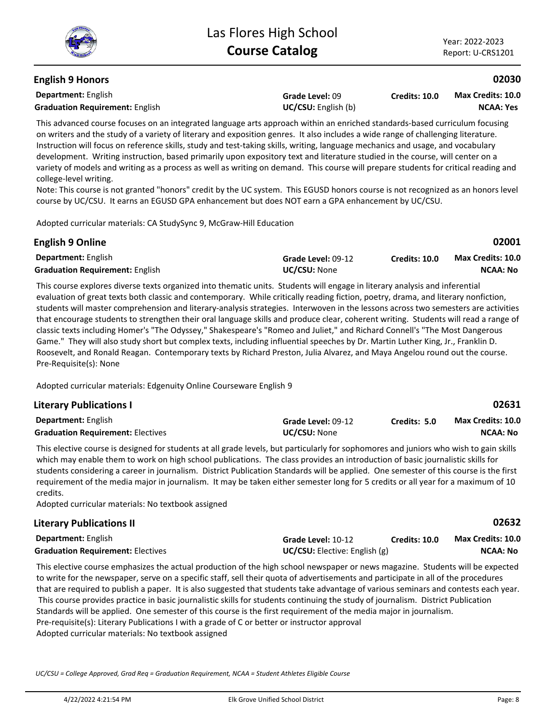# **English 9 Honors**

**Department:** English **Graduation Requirement:** English **English UC/CSU:** English (b)

**Grade Level:** 09

**Credits: 10.0 NCAA: Yes Max Credits: 10.0**

This advanced course focuses on an integrated language arts approach within an enriched standards-based curriculum focusing on writers and the study of a variety of literary and exposition genres. It also includes a wide range of challenging literature. Instruction will focus on reference skills, study and test-taking skills, writing, language mechanics and usage, and vocabulary development. Writing instruction, based primarily upon expository text and literature studied in the course, will center on a variety of models and writing as a process as well as writing on demand. This course will prepare students for critical reading and college-level writing.

Note: This course is not granted "honors" credit by the UC system. This EGUSD honors course is not recognized as an honors level course by UC/CSU. It earns an EGUSD GPA enhancement but does NOT earn a GPA enhancement by UC/CSU.

Adopted curricular materials: CA StudySync 9, McGraw-Hill Education

|                     |               | 02001             |
|---------------------|---------------|-------------------|
| Grade Level: 09-12  | Credits: 10.0 | Max Credits: 10.0 |
| <b>UC/CSU: None</b> |               | <b>NCAA: No</b>   |
|                     |               |                   |

This course explores diverse texts organized into thematic units. Students will engage in literary analysis and inferential evaluation of great texts both classic and contemporary. While critically reading fiction, poetry, drama, and literary nonfiction, students will master comprehension and literary-analysis strategies. Interwoven in the lessons across two semesters are activities that encourage students to strengthen their oral language skills and produce clear, coherent writing. Students will read a range of classic texts including Homer's "The Odyssey," Shakespeare's "Romeo and Juliet," and Richard Connell's "The Most Dangerous Game." They will also study short but complex texts, including influential speeches by Dr. Martin Luther King, Jr., Franklin D. Roosevelt, and Ronald Reagan. Contemporary texts by Richard Preston, Julia Alvarez, and Maya Angelou round out the course. Pre-Requisite(s): None

Adopted curricular materials: Edgenuity Online Courseware English 9

| <b>Literary Publications I</b>           |                     |              | 02631             |
|------------------------------------------|---------------------|--------------|-------------------|
| <b>Department:</b> English               | Grade Level: 09-12  | Credits: 5.0 | Max Credits: 10.0 |
| <b>Graduation Requirement: Electives</b> | <b>UC/CSU:</b> None |              | <b>NCAA: No</b>   |

This elective course is designed for students at all grade levels, but particularly for sophomores and juniors who wish to gain skills which may enable them to work on high school publications. The class provides an introduction of basic journalistic skills for students considering a career in journalism. District Publication Standards will be applied. One semester of this course is the first requirement of the media major in journalism. It may be taken either semester long for 5 credits or all year for a maximum of 10 credits.

Adopted curricular materials: No textbook assigned

# **Literary Publications II**

| Department: English                      | Grade Level: 10-12                   | <b>Credits: 10.0</b> | <b>Max Credits: 10.0</b> |
|------------------------------------------|--------------------------------------|----------------------|--------------------------|
| <b>Graduation Requirement: Electives</b> | <b>UC/CSU:</b> Elective: English (g) |                      | <b>NCAA: No</b>          |

This elective course emphasizes the actual production of the high school newspaper or news magazine. Students will be expected to write for the newspaper, serve on a specific staff, sell their quota of advertisements and participate in all of the procedures that are required to publish a paper. It is also suggested that students take advantage of various seminars and contests each year. This course provides practice in basic journalistic skills for students continuing the study of journalism. District Publication Standards will be applied. One semester of this course is the first requirement of the media major in journalism. Pre-requisite(s): Literary Publications I with a grade of C or better or instructor approval Adopted curricular materials: No textbook assigned

*UC/CSU = College Approved, Grad Req = Graduation Requirement, NCAA = Student Athletes Eligible Course*

**02632**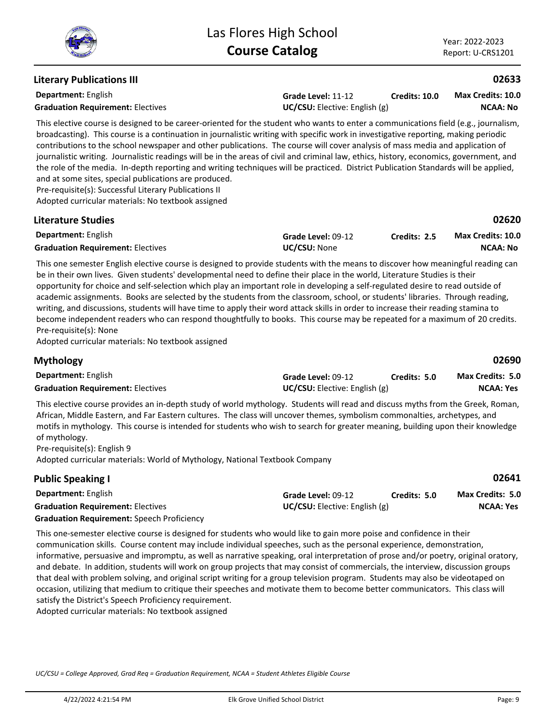# **Literary Publications III**

**Department:** English

**Grade Level:** 11-12 **Graduation Requirement:** Electives **UC/CSU:** Elective: English (g) **Credits: 10.0**

**NCAA: No Max Credits: 10.0**

**02633**

**02690**

This elective course is designed to be career-oriented for the student who wants to enter a communications field (e.g., journalism, broadcasting). This course is a continuation in journalistic writing with specific work in investigative reporting, making periodic contributions to the school newspaper and other publications. The course will cover analysis of mass media and application of journalistic writing. Journalistic readings will be in the areas of civil and criminal law, ethics, history, economics, government, and the role of the media. In-depth reporting and writing techniques will be practiced. District Publication Standards will be applied, and at some sites, special publications are produced.

Pre-requisite(s): Successful Literary Publications II

Adopted curricular materials: No textbook assigned

#### **Department:** English **02620 Literature Studies Grade Level:** 09-12 **Graduation Requirement:** Electives **UC/CSU:** None **Credits: 2.5 NCAA: No Max Credits: 10.0**

This one semester English elective course is designed to provide students with the means to discover how meaningful reading can be in their own lives. Given students' developmental need to define their place in the world, Literature Studies is their opportunity for choice and self-selection which play an important role in developing a self-regulated desire to read outside of academic assignments. Books are selected by the students from the classroom, school, or students' libraries. Through reading, writing, and discussions, students will have time to apply their word attack skills in order to increase their reading stamina to become independent readers who can respond thoughtfully to books. This course may be repeated for a maximum of 20 credits. Pre-requisite(s): None

Adopted curricular materials: No textbook assigned

# **Mythology**

| <b>Department: English</b>               | Grade Level: 09-12                   | Credits: 5.0 | <b>Max Credits: 5.0</b> |
|------------------------------------------|--------------------------------------|--------------|-------------------------|
| <b>Graduation Requirement: Electives</b> | <b>UC/CSU:</b> Elective: English (g) |              | <b>NCAA: Yes</b>        |

This elective course provides an in-depth study of world mythology. Students will read and discuss myths from the Greek, Roman, African, Middle Eastern, and Far Eastern cultures. The class will uncover themes, symbolism commonalties, archetypes, and motifs in mythology. This course is intended for students who wish to search for greater meaning, building upon their knowledge of mythology.

Pre-requisite(s): English 9 Adopted curricular materials: World of Mythology, National Textbook Company

| <b>Public Speaking I</b>                          |                                   |              | 02641                   |
|---------------------------------------------------|-----------------------------------|--------------|-------------------------|
| <b>Department:</b> English                        | Grade Level: 09-12                | Credits: 5.0 | <b>Max Credits: 5.0</b> |
| <b>Graduation Requirement: Electives</b>          | $UC/CSU:$ Elective: English $(g)$ |              | <b>NCAA: Yes</b>        |
| <b>Graduation Requirement:</b> Speech Proficiency |                                   |              |                         |

This one-semester elective course is designed for students who would like to gain more poise and confidence in their communication skills. Course content may include individual speeches, such as the personal experience, demonstration, informative, persuasive and impromptu, as well as narrative speaking, oral interpretation of prose and/or poetry, original oratory, and debate. In addition, students will work on group projects that may consist of commercials, the interview, discussion groups that deal with problem solving, and original script writing for a group television program. Students may also be videotaped on occasion, utilizing that medium to critique their speeches and motivate them to become better communicators. This class will satisfy the District's Speech Proficiency requirement.

Adopted curricular materials: No textbook assigned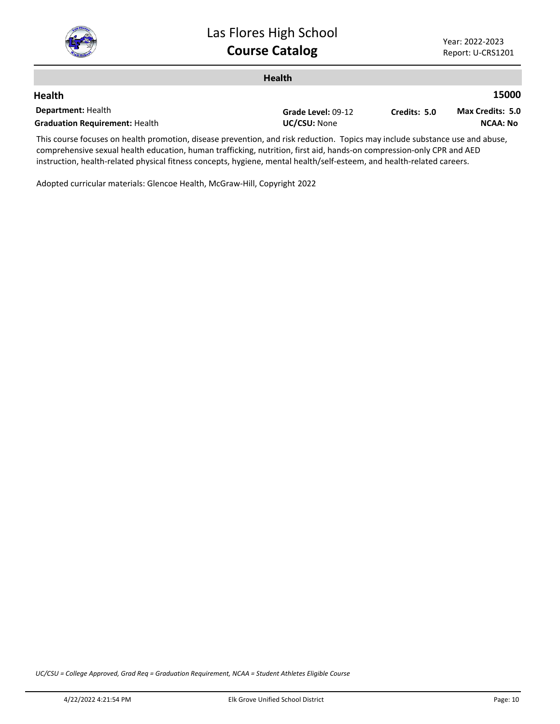

|                                                                                                                             | <b>Health</b>      |              |                  |
|-----------------------------------------------------------------------------------------------------------------------------|--------------------|--------------|------------------|
| <b>Health</b>                                                                                                               |                    |              | 15000            |
| <b>Department: Health</b>                                                                                                   | Grade Level: 09-12 | Credits: 5.0 | Max Credits: 5.0 |
| <b>Graduation Requirement: Health</b>                                                                                       | UC/CSU: None       |              | <b>NCAA: No</b>  |
| This course focuses on hoalth promotion, disasse provention, and risk reduction. Topics may include substance use and abuse |                    |              |                  |

This course focuses on health promotion, disease prevention, and risk reduction. Topics may include substance use and abuse, comprehensive sexual health education, human trafficking, nutrition, first aid, hands-on compression-only CPR and AED instruction, health-related physical fitness concepts, hygiene, mental health/self-esteem, and health-related careers.

Adopted curricular materials: Glencoe Health, McGraw-Hill, Copyright 2022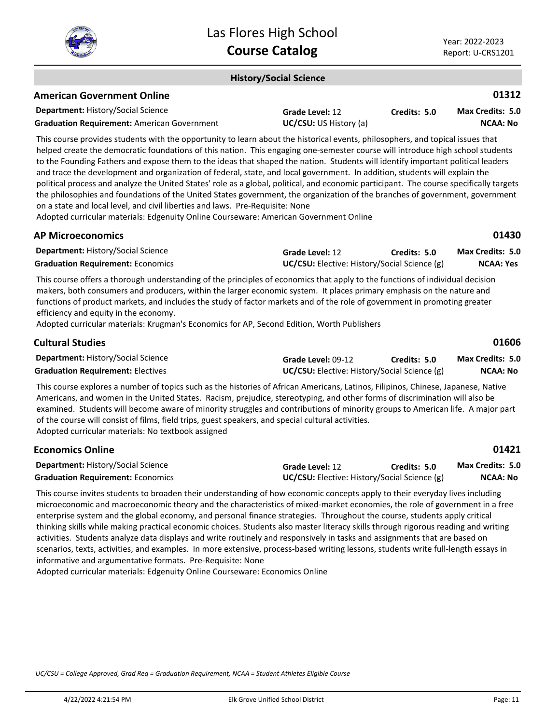

#### **History/Social Science**

| <b>American Government Online</b>                  |                               |              | 01312                   |
|----------------------------------------------------|-------------------------------|--------------|-------------------------|
| <b>Department: History/Social Science</b>          | <b>Grade Level: 12</b>        | Credits: 5.0 | <b>Max Credits: 5.0</b> |
| <b>Graduation Requirement:</b> American Government | <b>UC/CSU:</b> US History (a) |              | NCAA: No                |

This course provides students with the opportunity to learn about the historical events, philosophers, and topical issues that helped create the democratic foundations of this nation. This engaging one-semester course will introduce high school students to the Founding Fathers and expose them to the ideas that shaped the nation. Students will identify important political leaders and trace the development and organization of federal, state, and local government. In addition, students will explain the political process and analyze the United States' role as a global, political, and economic participant. The course specifically targets the philosophies and foundations of the United States government, the organization of the branches of government, government on a state and local level, and civil liberties and laws. Pre-Requisite: None

Adopted curricular materials: Edgenuity Online Courseware: American Government Online

| <b>AP Microeconomics</b>                                                                                                                                                                                                                                                                                                                                                                                                                                                                                                   |                                                                        |              | 01430                                       |
|----------------------------------------------------------------------------------------------------------------------------------------------------------------------------------------------------------------------------------------------------------------------------------------------------------------------------------------------------------------------------------------------------------------------------------------------------------------------------------------------------------------------------|------------------------------------------------------------------------|--------------|---------------------------------------------|
| <b>Department: History/Social Science</b><br><b>Graduation Requirement: Economics</b>                                                                                                                                                                                                                                                                                                                                                                                                                                      | Grade Level: 12<br><b>UC/CSU:</b> Elective: History/Social Science (g) | Credits: 5.0 | <b>Max Credits: 5.0</b><br><b>NCAA: Yes</b> |
| This course offers a thorough understanding of the principles of economics that apply to the functions of individual decision<br>makers, both consumers and producers, within the larger economic system. It places primary emphasis on the nature and<br>functions of product markets, and includes the study of factor markets and of the role of government in promoting greater<br>efficiency and equity in the economy.<br>Adopted curricular materials: Krugman's Economics for AP, Second Edition, Worth Publishers |                                                                        |              |                                             |
| <b>Cultural Studies</b>                                                                                                                                                                                                                                                                                                                                                                                                                                                                                                    |                                                                        |              | 01606                                       |
| Department: History/Social Science                                                                                                                                                                                                                                                                                                                                                                                                                                                                                         | Grade Level: 09-12                                                     | Credits: 5.0 | <b>Max Credits: 5.0</b>                     |
| <b>Graduation Requirement: Electives</b>                                                                                                                                                                                                                                                                                                                                                                                                                                                                                   | <b>UC/CSU:</b> Elective: History/Social Science (g)                    |              | <b>NCAA: No</b>                             |

This course explores a number of topics such as the histories of African Americans, Latinos, Filipinos, Chinese, Japanese, Native Americans, and women in the United States. Racism, prejudice, stereotyping, and other forms of discrimination will also be examined. Students will become aware of minority struggles and contributions of minority groups to American life. A major part of the course will consist of films, field trips, guest speakers, and special cultural activities. Adopted curricular materials: No textbook assigned

| <b>Economics Online</b>                   |                                                     |              | 01421                   |
|-------------------------------------------|-----------------------------------------------------|--------------|-------------------------|
| <b>Department: History/Social Science</b> | Grade Level: 12                                     | Credits: 5.0 | <b>Max Credits: 5.0</b> |
| <b>Graduation Requirement: Economics</b>  | <b>UC/CSU:</b> Elective: History/Social Science (g) |              | NCAA: No                |

This course invites students to broaden their understanding of how economic concepts apply to their everyday lives including microeconomic and macroeconomic theory and the characteristics of mixed-market economies, the role of government in a free enterprise system and the global economy, and personal finance strategies. Throughout the course, students apply critical thinking skills while making practical economic choices. Students also master literacy skills through rigorous reading and writing activities. Students analyze data displays and write routinely and responsively in tasks and assignments that are based on scenarios, texts, activities, and examples. In more extensive, process-based writing lessons, students write full-length essays in informative and argumentative formats. Pre-Requisite: None

Adopted curricular materials: Edgenuity Online Courseware: Economics Online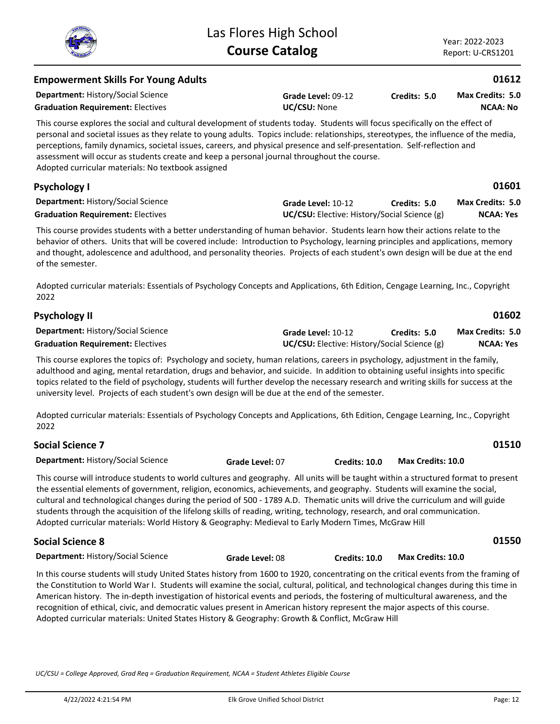| <b>Empowerment Skills For Young Adults</b>                                                                                                                                                                                                                                                                                                                                                                                                                                                                                                                |                 |                                                                    |                          | 01612                                       |
|-----------------------------------------------------------------------------------------------------------------------------------------------------------------------------------------------------------------------------------------------------------------------------------------------------------------------------------------------------------------------------------------------------------------------------------------------------------------------------------------------------------------------------------------------------------|-----------------|--------------------------------------------------------------------|--------------------------|---------------------------------------------|
| <b>Department: History/Social Science</b><br><b>Graduation Requirement: Electives</b>                                                                                                                                                                                                                                                                                                                                                                                                                                                                     | UC/CSU: None    | Grade Level: 09-12                                                 | Credits: 5.0             | Max Credits: 5.0<br><b>NCAA: No</b>         |
| This course explores the social and cultural development of students today. Students will focus specifically on the effect of<br>personal and societal issues as they relate to young adults. Topics include: relationships, stereotypes, the influence of the media,<br>perceptions, family dynamics, societal issues, careers, and physical presence and self-presentation. Self-reflection and<br>assessment will occur as students create and keep a personal journal throughout the course.<br>Adopted curricular materials: No textbook assigned    |                 |                                                                    |                          |                                             |
| <b>Psychology I</b>                                                                                                                                                                                                                                                                                                                                                                                                                                                                                                                                       |                 |                                                                    |                          | 01601                                       |
| Department: History/Social Science<br><b>Graduation Requirement: Electives</b>                                                                                                                                                                                                                                                                                                                                                                                                                                                                            |                 | Grade Level: 10-12<br>UC/CSU: Elective: History/Social Science (g) | Credits: 5.0             | Max Credits: 5.0<br><b>NCAA: Yes</b>        |
| This course provides students with a better understanding of human behavior. Students learn how their actions relate to the<br>behavior of others. Units that will be covered include: Introduction to Psychology, learning principles and applications, memory<br>and thought, adolescence and adulthood, and personality theories. Projects of each student's own design will be due at the end<br>of the semester.<br>Adopted curricular materials: Essentials of Psychology Concepts and Applications, 6th Edition, Cengage Learning, Inc., Copyright |                 |                                                                    |                          |                                             |
| 2022                                                                                                                                                                                                                                                                                                                                                                                                                                                                                                                                                      |                 |                                                                    |                          |                                             |
| <b>Psychology II</b>                                                                                                                                                                                                                                                                                                                                                                                                                                                                                                                                      |                 |                                                                    |                          | 01602                                       |
| <b>Department: History/Social Science</b><br><b>Graduation Requirement: Electives</b>                                                                                                                                                                                                                                                                                                                                                                                                                                                                     |                 | Grade Level: 10-12<br>UC/CSU: Elective: History/Social Science (g) | Credits: 5.0             | <b>Max Credits: 5.0</b><br><b>NCAA: Yes</b> |
| This course explores the topics of: Psychology and society, human relations, careers in psychology, adjustment in the family,<br>adulthood and aging, mental retardation, drugs and behavior, and suicide. In addition to obtaining useful insights into specific<br>topics related to the field of psychology, students will further develop the necessary research and writing skills for success at the<br>university level. Projects of each student's own design will be due at the end of the semester.                                             |                 |                                                                    |                          |                                             |
| Adopted curricular materials: Essentials of Psychology Concepts and Applications, 6th Edition, Cengage Learning, Inc., Copyright<br>2022                                                                                                                                                                                                                                                                                                                                                                                                                  |                 |                                                                    |                          |                                             |
| <b>Social Science 7</b>                                                                                                                                                                                                                                                                                                                                                                                                                                                                                                                                   |                 |                                                                    |                          | 01510                                       |
| <b>Department: History/Social Science</b>                                                                                                                                                                                                                                                                                                                                                                                                                                                                                                                 | Grade Level: 07 | <b>Credits: 10.0</b>                                               | <b>Max Credits: 10.0</b> |                                             |

This course will introduce students to world cultures and geography. All units will be taught within a structured format to present the essential elements of government, religion, economics, achievements, and geography. Students will examine the social, cultural and technological changes during the period of 500 - 1789 A.D. Thematic units will drive the curriculum and will guide students through the acquisition of the lifelong skills of reading, writing, technology, research, and oral communication. Adopted curricular materials: World History & Geography: Medieval to Early Modern Times, McGraw Hill

| <b>Social Science 8</b>                   |                 |               |                   | 01550 |
|-------------------------------------------|-----------------|---------------|-------------------|-------|
| <b>Department: History/Social Science</b> | Grade Level: 08 | Credits: 10.0 | Max Credits: 10.0 |       |

In this course students will study United States history from 1600 to 1920, concentrating on the critical events from the framing of the Constitution to World War I. Students will examine the social, cultural, political, and technological changes during this time in American history. The in-depth investigation of historical events and periods, the fostering of multicultural awareness, and the recognition of ethical, civic, and democratic values present in American history represent the major aspects of this course. Adopted curricular materials: United States History & Geography: Growth & Conflict, McGraw Hill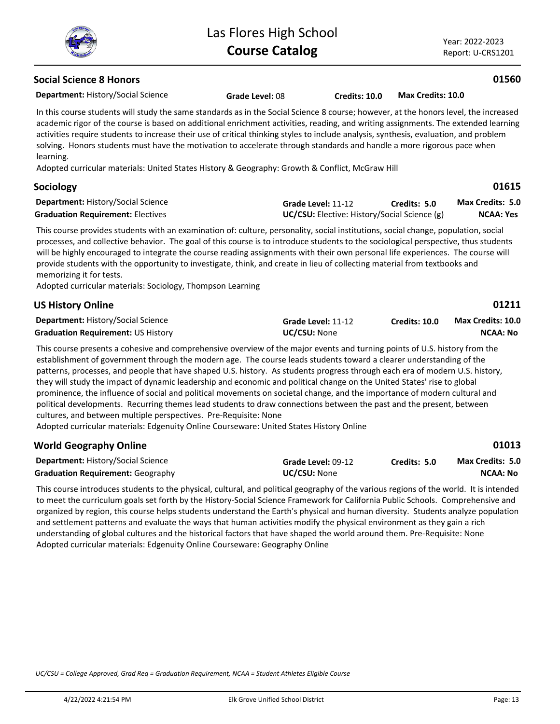Year: 2022-2023 Report: U-CRS1201

**01560**

**01211**

**01013**

# **Social Science 8 Honors**

**Department:** History/Social Science

**Grade Level:** 08 **Credits: 10.0 Max Credits: 10.0**

In this course students will study the same standards as in the Social Science 8 course; however, at the honors level, the increased academic rigor of the course is based on additional enrichment activities, reading, and writing assignments. The extended learning activities require students to increase their use of critical thinking styles to include analysis, synthesis, evaluation, and problem solving. Honors students must have the motivation to accelerate through standards and handle a more rigorous pace when learning.

Adopted curricular materials: United States History & Geography: Growth & Conflict, McGraw Hill

#### **Department:** History/Social Science **01615 Sociology Grade Level:** 11-12 **Graduation Requirement:** Electives **UC/CSU:** Elective: History/Social Science (g) **Credits: 5.0 NCAA: Yes Max Credits: 5.0**

This course provides students with an examination of: culture, personality, social institutions, social change, population, social processes, and collective behavior. The goal of this course is to introduce students to the sociological perspective, thus students will be highly encouraged to integrate the course reading assignments with their own personal life experiences. The course will provide students with the opportunity to investigate, think, and create in lieu of collecting material from textbooks and memorizing it for tests.

Adopted curricular materials: Sociology, Thompson Learning

| <b>US History Online</b>                  |                     |               | 01211             |
|-------------------------------------------|---------------------|---------------|-------------------|
| <b>Department: History/Social Science</b> | Grade Level: 11-12  | Credits: 10.0 | Max Credits: 10.0 |
| <b>Graduation Requirement: US History</b> | <b>UC/CSU:</b> None |               | NCAA: No          |

This course presents a cohesive and comprehensive overview of the major events and turning points of U.S. history from the establishment of government through the modern age. The course leads students toward a clearer understanding of the patterns, processes, and people that have shaped U.S. history. As students progress through each era of modern U.S. history, they will study the impact of dynamic leadership and economic and political change on the United States' rise to global prominence, the influence of social and political movements on societal change, and the importance of modern cultural and political developments. Recurring themes lead students to draw connections between the past and the present, between cultures, and between multiple perspectives. Pre-Requisite: None

Adopted curricular materials: Edgenuity Online Courseware: United States History Online

| <b>World Geography Online</b>             |                     |              | 01013                   |
|-------------------------------------------|---------------------|--------------|-------------------------|
| <b>Department: History/Social Science</b> | Grade Level: 09-12  | Credits: 5.0 | <b>Max Credits: 5.0</b> |
| <b>Graduation Requirement: Geography</b>  | <b>UC/CSU: None</b> |              | <b>NCAA: No</b>         |

This course introduces students to the physical, cultural, and political geography of the various regions of the world. It is intended to meet the curriculum goals set forth by the History-Social Science Framework for California Public Schools. Comprehensive and organized by region, this course helps students understand the Earth's physical and human diversity. Students analyze population and settlement patterns and evaluate the ways that human activities modify the physical environment as they gain a rich understanding of global cultures and the historical factors that have shaped the world around them. Pre-Requisite: None Adopted curricular materials: Edgenuity Online Courseware: Geography Online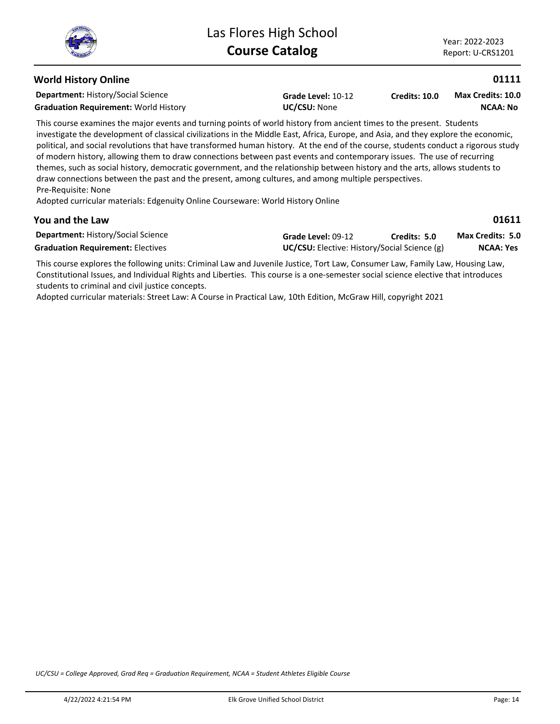# **World History Online**

**Department:** History/Social Science

Graduation Requirement: World History **UC/CSU: None** 

**Grade Level:** 10-12

**Credits: 10.0 NCAA: No Max Credits: 10.0**

This course examines the major events and turning points of world history from ancient times to the present. Students investigate the development of classical civilizations in the Middle East, Africa, Europe, and Asia, and they explore the economic, political, and social revolutions that have transformed human history. At the end of the course, students conduct a rigorous study of modern history, allowing them to draw connections between past events and contemporary issues. The use of recurring themes, such as social history, democratic government, and the relationship between history and the arts, allows students to draw connections between the past and the present, among cultures, and among multiple perspectives. Pre-Requisite: None

Adopted curricular materials: Edgenuity Online Courseware: World History Online

# **You and the Law**

| ۰.<br>۰, |  |
|----------|--|
|----------|--|

**01111**

| <b>Department: History/Social Science</b> | Grade Level: 09-12                                  | Credits: 5.0 | <b>Max Credits: 5.0</b> |
|-------------------------------------------|-----------------------------------------------------|--------------|-------------------------|
| <b>Graduation Requirement: Electives</b>  | <b>UC/CSU:</b> Elective: History/Social Science (g) |              | <b>NCAA: Yes</b>        |

This course explores the following units: Criminal Law and Juvenile Justice, Tort Law, Consumer Law, Family Law, Housing Law, Constitutional Issues, and Individual Rights and Liberties. This course is a one-semester social science elective that introduces students to criminal and civil justice concepts.

Adopted curricular materials: Street Law: A Course in Practical Law, 10th Edition, McGraw Hill, copyright 2021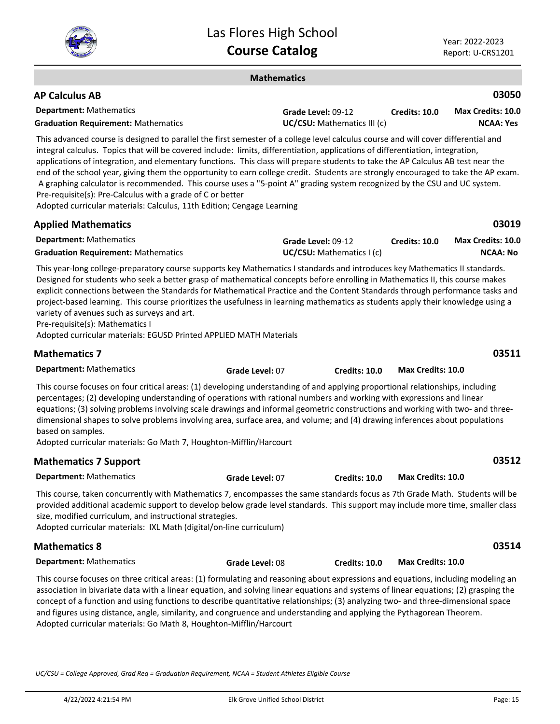

#### **Mathematics**

| <b>AP Calculus AB</b>                      |                                    |               | 03050             |
|--------------------------------------------|------------------------------------|---------------|-------------------|
| <b>Department:</b> Mathematics             | Grade Level: 09-12                 | Credits: 10.0 | Max Credits: 10.0 |
| <b>Graduation Requirement: Mathematics</b> | <b>UC/CSU:</b> Mathematics III (c) |               | <b>NCAA: Yes</b>  |

This advanced course is designed to parallel the first semester of a college level calculus course and will cover differential and integral calculus. Topics that will be covered include: limits, differentiation, applications of differentiation, integration, applications of integration, and elementary functions. This class will prepare students to take the AP Calculus AB test near the end of the school year, giving them the opportunity to earn college credit. Students are strongly encouraged to take the AP exam. A graphing calculator is recommended. This course uses a "5-point A" grading system recognized by the CSU and UC system. Pre-requisite(s): Pre-Calculus with a grade of C or better

Adopted curricular materials: Calculus, 11th Edition; Cengage Learning

| <b>Applied Mathematics</b>                 |                          |               | 03019                    |
|--------------------------------------------|--------------------------|---------------|--------------------------|
| <b>Department: Mathematics</b>             | Grade Level: 09-12       | Credits: 10.0 | <b>Max Credits: 10.0</b> |
| <b>Graduation Requirement: Mathematics</b> | UC/CSU: Mathematics I(c) |               | NCAA: No                 |
|                                            |                          |               |                          |

This year-long college-preparatory course supports key Mathematics I standards and introduces key Mathematics II standards. Designed for students who seek a better grasp of mathematical concepts before enrolling in Mathematics II, this course makes explicit connections between the Standards for Mathematical Practice and the Content Standards through performance tasks and project-based learning. This course prioritizes the usefulness in learning mathematics as students apply their knowledge using a variety of avenues such as surveys and art.

Pre-requisite(s): Mathematics I

Adopted curricular materials: EGUSD Printed APPLIED MATH Materials

| <b>Mathematics 7</b>                                                                                                                                                                                                                                                                                                                                                                                                                                                                                                                                                                                                |                 |               |                   | 03511 |
|---------------------------------------------------------------------------------------------------------------------------------------------------------------------------------------------------------------------------------------------------------------------------------------------------------------------------------------------------------------------------------------------------------------------------------------------------------------------------------------------------------------------------------------------------------------------------------------------------------------------|-----------------|---------------|-------------------|-------|
| <b>Department: Mathematics</b>                                                                                                                                                                                                                                                                                                                                                                                                                                                                                                                                                                                      | Grade Level: 07 | Credits: 10.0 | Max Credits: 10.0 |       |
| This course focuses on four critical areas: (1) developing understanding of and applying proportional relationships, including<br>percentages; (2) developing understanding of operations with rational numbers and working with expressions and linear<br>equations; (3) solving problems involving scale drawings and informal geometric constructions and working with two- and three-<br>dimensional shapes to solve problems involving area, surface area, and volume; and (4) drawing inferences about populations<br>based on samples.<br>Adopted curricular materials: Go Math 7, Houghton-Mifflin/Harcourt |                 |               |                   |       |
| <b>Mathematics 7 Support</b>                                                                                                                                                                                                                                                                                                                                                                                                                                                                                                                                                                                        |                 |               |                   | 03512 |
| <b>Department: Mathematics</b>                                                                                                                                                                                                                                                                                                                                                                                                                                                                                                                                                                                      | Grade Level: 07 | Credits: 10.0 | Max Credits: 10.0 |       |
|                                                                                                                                                                                                                                                                                                                                                                                                                                                                                                                                                                                                                     |                 |               |                   |       |

This course, taken concurrently with Mathematics 7, encompasses the same standards focus as 7th Grade Math. Students will be provided additional academic support to develop below grade level standards. This support may include more time, smaller class size, modified curriculum, and instructional strategies.

Adopted curricular materials: IXL Math (digital/on-line curriculum)

# **Mathematics 8**

**Department:** Mathematics

This course focuses on three critical areas: (1) formulating and reasoning about expressions and equations, including modeling an association in bivariate data with a linear equation, and solving linear equations and systems of linear equations; (2) grasping the concept of a function and using functions to describe quantitative relationships; (3) analyzing two- and three-dimensional space and figures using distance, angle, similarity, and congruence and understanding and applying the Pythagorean Theorem. Adopted curricular materials: Go Math 8, Houghton-Mifflin/Harcourt

**Grade Level:** 08 **Credits: 10.0 Max Credits: 10.0**

*UC/CSU = College Approved, Grad Req = Graduation Requirement, NCAA = Student Athletes Eligible Course*

**03514**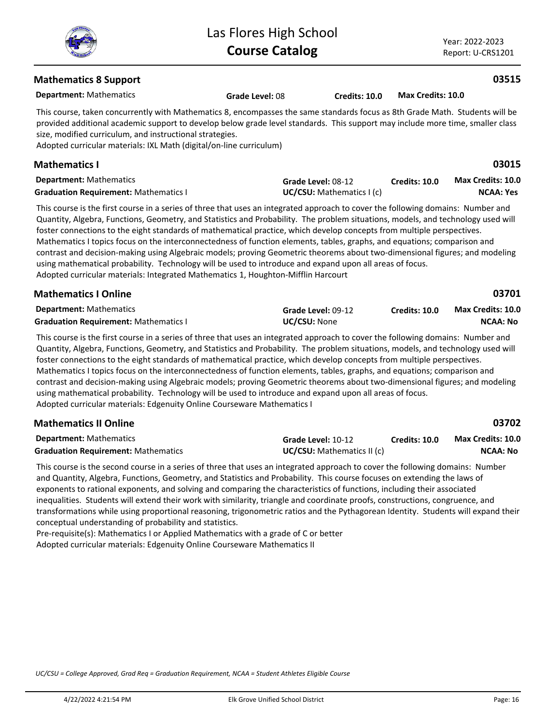

Year: 2022-2023 Report: U-CRS1201

# **Mathematics 8 Support**

**Department:** Mathematics This course, taken concurrently with Mathematics 8, encompasses the same standards focus as 8th Grade Math. Students will be provided additional academic support to develop below grade level standards. This support may include more time, smaller class size, modified curriculum, and instructional strategies. **Grade Level:** 08 **Credits: 10.0 Max Credits: 10.0**

Adopted curricular materials: IXL Math (digital/on-line curriculum)

| <b>Mathematics I</b>                         |                           |                      | 03015                    |
|----------------------------------------------|---------------------------|----------------------|--------------------------|
| <b>Department:</b> Mathematics               | <b>Grade Level: 08-12</b> | <b>Credits: 10.0</b> | <b>Max Credits: 10.0</b> |
| <b>Graduation Requirement: Mathematics I</b> | UC/CSU: Mathematics I(c)  |                      | NCAA: Yes                |

This course is the first course in a series of three that uses an integrated approach to cover the following domains: Number and Quantity, Algebra, Functions, Geometry, and Statistics and Probability. The problem situations, models, and technology used will foster connections to the eight standards of mathematical practice, which develop concepts from multiple perspectives. Mathematics I topics focus on the interconnectedness of function elements, tables, graphs, and equations; comparison and contrast and decision-making using Algebraic models; proving Geometric theorems about two-dimensional figures; and modeling using mathematical probability. Technology will be used to introduce and expand upon all areas of focus. Adopted curricular materials: Integrated Mathematics 1, Houghton-Mifflin Harcourt

| <b>Mathematics I Online</b>                  |                     |                      | 03701             |
|----------------------------------------------|---------------------|----------------------|-------------------|
| <b>Department:</b> Mathematics               | Grade Level: 09-12  | <b>Credits: 10.0</b> | Max Credits: 10.0 |
| <b>Graduation Requirement: Mathematics I</b> | <b>UC/CSU:</b> None |                      | NCAA: No          |

This course is the first course in a series of three that uses an integrated approach to cover the following domains: Number and Quantity, Algebra, Functions, Geometry, and Statistics and Probability. The problem situations, models, and technology used will foster connections to the eight standards of mathematical practice, which develop concepts from multiple perspectives. Mathematics I topics focus on the interconnectedness of function elements, tables, graphs, and equations; comparison and contrast and decision-making using Algebraic models; proving Geometric theorems about two-dimensional figures; and modeling using mathematical probability. Technology will be used to introduce and expand upon all areas of focus. Adopted curricular materials: Edgenuity Online Courseware Mathematics I

#### **Department:** Mathematics **03702 Mathematics II Online Grade Level:** 10-12 **Graduation Requirement:** Mathematics **UC/CSU:** Mathematics II (c) **Credits: 10.0 NCAA: No Max Credits: 10.0**

This course is the second course in a series of three that uses an integrated approach to cover the following domains: Number and Quantity, Algebra, Functions, Geometry, and Statistics and Probability. This course focuses on extending the laws of exponents to rational exponents, and solving and comparing the characteristics of functions, including their associated inequalities. Students will extend their work with similarity, triangle and coordinate proofs, constructions, congruence, and transformations while using proportional reasoning, trigonometric ratios and the Pythagorean Identity. Students will expand their conceptual understanding of probability and statistics.

Pre-requisite(s): Mathematics I or Applied Mathematics with a grade of C or better Adopted curricular materials: Edgenuity Online Courseware Mathematics II

*UC/CSU = College Approved, Grad Req = Graduation Requirement, NCAA = Student Athletes Eligible Course*



# **03515**

| ×<br>×<br>۰.<br>۰, | ۰, |
|--------------------|----|
|--------------------|----|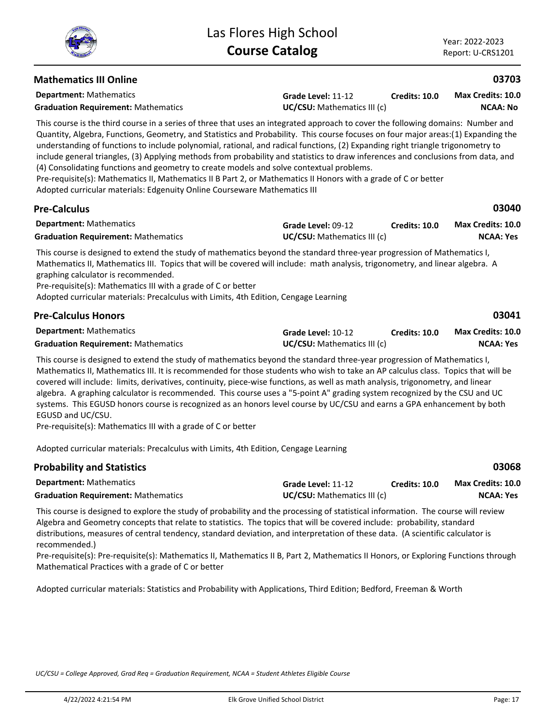| <b>Mathematics III Online</b>                                                                                                                                                                                                                                                                                                                                                                                                                                                                                                                                                                                                                                                                                                                                                                                                             |                                                   |                      | 03703                                        |
|-------------------------------------------------------------------------------------------------------------------------------------------------------------------------------------------------------------------------------------------------------------------------------------------------------------------------------------------------------------------------------------------------------------------------------------------------------------------------------------------------------------------------------------------------------------------------------------------------------------------------------------------------------------------------------------------------------------------------------------------------------------------------------------------------------------------------------------------|---------------------------------------------------|----------------------|----------------------------------------------|
| <b>Department: Mathematics</b><br><b>Graduation Requirement: Mathematics</b>                                                                                                                                                                                                                                                                                                                                                                                                                                                                                                                                                                                                                                                                                                                                                              | Grade Level: 11-12<br>UC/CSU: Mathematics III (c) | <b>Credits: 10.0</b> | <b>Max Credits: 10.0</b><br><b>NCAA: No</b>  |
| This course is the third course in a series of three that uses an integrated approach to cover the following domains: Number and<br>Quantity, Algebra, Functions, Geometry, and Statistics and Probability. This course focuses on four major areas:(1) Expanding the<br>understanding of functions to include polynomial, rational, and radical functions, (2) Expanding right triangle trigonometry to<br>include general triangles, (3) Applying methods from probability and statistics to draw inferences and conclusions from data, and<br>(4) Consolidating functions and geometry to create models and solve contextual problems.<br>Pre-requisite(s): Mathematics II, Mathematics II B Part 2, or Mathematics II Honors with a grade of C or better<br>Adopted curricular materials: Edgenuity Online Courseware Mathematics III |                                                   |                      |                                              |
| <b>Pre-Calculus</b>                                                                                                                                                                                                                                                                                                                                                                                                                                                                                                                                                                                                                                                                                                                                                                                                                       |                                                   |                      | 03040                                        |
| <b>Department: Mathematics</b><br><b>Graduation Requirement: Mathematics</b>                                                                                                                                                                                                                                                                                                                                                                                                                                                                                                                                                                                                                                                                                                                                                              | Grade Level: 09-12<br>UC/CSU: Mathematics III (c) | Credits: 10.0        | <b>Max Credits: 10.0</b><br><b>NCAA: Yes</b> |
| This course is designed to extend the study of mathematics beyond the standard three-year progression of Mathematics I,<br>Mathematics II, Mathematics III. Topics that will be covered will include: math analysis, trigonometry, and linear algebra. A<br>graphing calculator is recommended.<br>Pre-requisite(s): Mathematics III with a grade of C or better<br>Adopted curricular materials: Precalculus with Limits, 4th Edition, Cengage Learning                                                                                                                                                                                                                                                                                                                                                                                  |                                                   |                      |                                              |
| <b>Pre-Calculus Honors</b>                                                                                                                                                                                                                                                                                                                                                                                                                                                                                                                                                                                                                                                                                                                                                                                                                |                                                   |                      | 03041                                        |
| <b>Department: Mathematics</b><br><b>Graduation Requirement: Mathematics</b>                                                                                                                                                                                                                                                                                                                                                                                                                                                                                                                                                                                                                                                                                                                                                              | Grade Level: 10-12<br>UC/CSU: Mathematics III (c) | <b>Credits: 10.0</b> | <b>Max Credits: 10.0</b><br><b>NCAA: Yes</b> |
| This course is designed to extend the study of mathematics beyond the standard three-year progression of Mathematics I,<br>Mathematics II, Mathematics III. It is recommended for those students who wish to take an AP calculus class. Topics that will be<br>covered will include: limits, derivatives, continuity, piece-wise functions, as well as math analysis, trigonometry, and linear<br>algebra. A graphing calculator is recommended. This course uses a "5-point A" grading system recognized by the CSU and UC<br>systems. This EGUSD honors course is recognized as an honors level course by UC/CSU and earns a GPA enhancement by both<br>EGUSD and UC/CSU.<br>$\cdots$ $\cdots$ $\cdots$ $\cdots$ $\cdots$ $\cdots$                                                                                                      |                                                   |                      |                                              |

Pre-requisite(s): Mathematics III with a grade of C or better

Adopted curricular materials: Precalculus with Limits, 4th Edition, Cengage Learning

| <b>Probability and Statistics</b>                                                                                                                                                                                                                            |                                                          |               | 03068                                 |  |  |
|--------------------------------------------------------------------------------------------------------------------------------------------------------------------------------------------------------------------------------------------------------------|----------------------------------------------------------|---------------|---------------------------------------|--|--|
| <b>Department: Mathematics</b><br><b>Graduation Requirement: Mathematics</b>                                                                                                                                                                                 | Grade Level: 11-12<br><b>UC/CSU:</b> Mathematics III (c) | Credits: 10.0 | Max Credits: 10.0<br><b>NCAA: Yes</b> |  |  |
| This course is designed to explore the study of probability and the processing of statistical information. The course will review<br>Algebra and Geometry concepts that relate to statistics. The topics that will be covered include: probability, standard |                                                          |               |                                       |  |  |

distributions, measures of central tendency, standard deviation, and interpretation of these data. (A scientific calculator is recommended.)

Pre-requisite(s): Pre-requisite(s): Mathematics II, Mathematics II B, Part 2, Mathematics II Honors, or Exploring Functions through Mathematical Practices with a grade of C or better

Adopted curricular materials: Statistics and Probability with Applications, Third Edition; Bedford, Freeman & Worth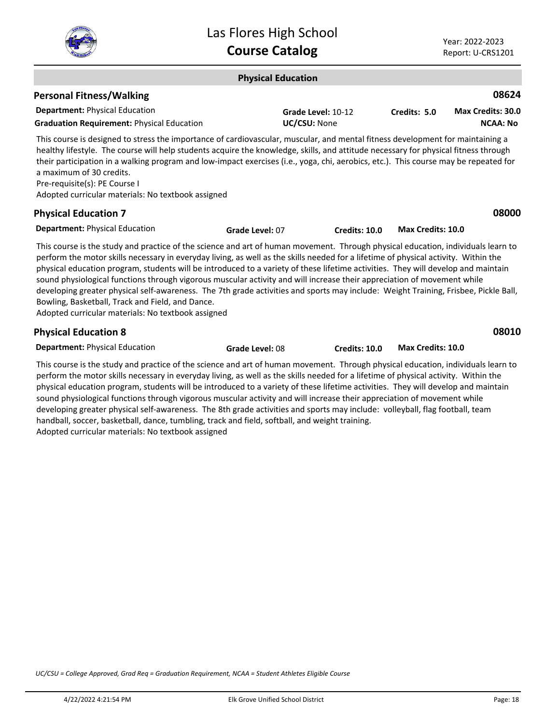

#### **Physical Education Department:** Physical Education **08624** This course is designed to stress the importance of cardiovascular, muscular, and mental fitness development for maintaining a healthy lifestyle. The course will help students acquire the knowledge, skills, and attitude necessary for physical fitness through their participation in a walking program and low-impact exercises (i.e., yoga, chi, aerobics, etc.). This course may be repeated for a maximum of 30 credits. Pre-requisite(s): PE Course I Adopted curricular materials: No textbook assigned **Personal Fitness/Walking Grade Level:** 10-12 **Graduation Requirement:** Physical Education **UC/CSU:** None **Credits: 5.0 NCAA: No Max Credits: 30.0 Department:** Physical Education **08000** This course is the study and practice of the science and art of human movement. Through physical education, individuals learn to perform the motor skills necessary in everyday living, as well as the skills needed for a lifetime of physical activity. Within the physical education program, students will be introduced to a variety of these lifetime activities. They will develop and maintain sound physiological functions through vigorous muscular activity and will increase their appreciation of movement while **Physical Education 7 Grade Level:** 07 **Credits: 10.0 Max Credits: 10.0**

developing greater physical self-awareness. The 7th grade activities and sports may include: Weight Training, Frisbee, Pickle Ball, Bowling, Basketball, Track and Field, and Dance.

Adopted curricular materials: No textbook assigned

# **Physical Education 8**

**Department:** Physical Education

**Grade Level:** 08 **Credits: 10.0 Max Credits: 10.0**

**08010**

This course is the study and practice of the science and art of human movement. Through physical education, individuals learn to perform the motor skills necessary in everyday living, as well as the skills needed for a lifetime of physical activity. Within the physical education program, students will be introduced to a variety of these lifetime activities. They will develop and maintain sound physiological functions through vigorous muscular activity and will increase their appreciation of movement while developing greater physical self-awareness. The 8th grade activities and sports may include: volleyball, flag football, team handball, soccer, basketball, dance, tumbling, track and field, softball, and weight training. Adopted curricular materials: No textbook assigned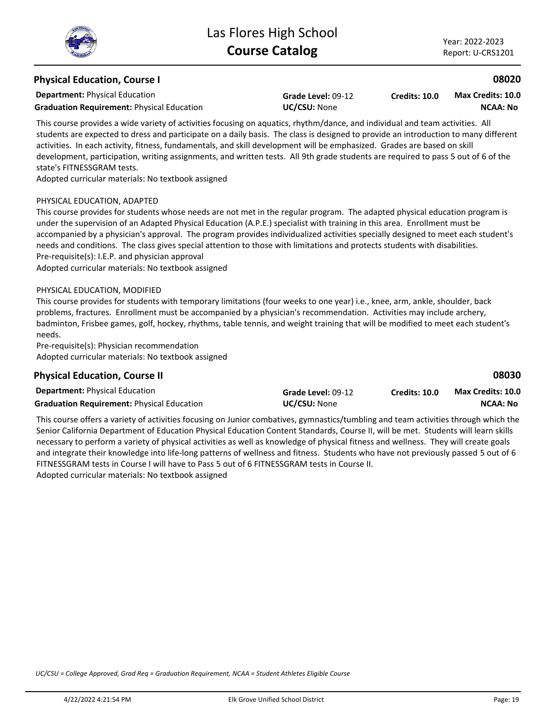# **Physical Education, Course I**

**Department:** Physical Education

**Graduation Requirement:** Physical Education **UC/CSU:** None

**Grade Level:** 09-12

**Credits: 10.0 NCAA: No Max Credits: 10.0**

This course provides a wide variety of activities focusing on aquatics, rhythm/dance, and individual and team activities. All students are expected to dress and participate on a daily basis. The class is designed to provide an introduction to many different activities. In each activity, fitness, fundamentals, and skill development will be emphasized. Grades are based on skill development, participation, writing assignments, and written tests. All 9th grade students are required to pass 5 out of 6 of the state's FITNESSGRAM tests.

Adopted curricular materials: No textbook assigned

#### PHYSICAL EDUCATION, ADAPTED

This course provides for students whose needs are not met in the regular program. The adapted physical education program is under the supervision of an Adapted Physical Education (A.P.E.) specialist with training in this area. Enrollment must be accompanied by a physician's approval. The program provides individualized activities specially designed to meet each student's needs and conditions. The class gives special attention to those with limitations and protects students with disabilities. Pre-requisite(s): I.E.P. and physician approval

Adopted curricular materials: No textbook assigned

#### PHYSICAL EDUCATION, MODIFIED

This course provides for students with temporary limitations (four weeks to one year) i.e., knee, arm, ankle, shoulder, back problems, fractures. Enrollment must be accompanied by a physician's recommendation. Activities may include archery, badminton, Frisbee games, golf, hockey, rhythms, table tennis, and weight training that will be modified to meet each student's needs.

Pre-requisite(s): Physician recommendation Adopted curricular materials: No textbook assigned

### **Physical Education, Course II**

**08030**

| <b>Department: Physical Education</b>             | Grade Level: 09-12  | Credits: 10.0 | <b>Max Credits: 10.0</b> |
|---------------------------------------------------|---------------------|---------------|--------------------------|
| <b>Graduation Requirement: Physical Education</b> | <b>UC/CSU: None</b> |               | <b>NCAA: No</b>          |

This course offers a variety of activities focusing on Junior combatives, gymnastics/tumbling and team activities through which the Senior California Department of Education Physical Education Content Standards, Course II, will be met. Students will learn skills necessary to perform a variety of physical activities as well as knowledge of physical fitness and wellness. They will create goals and integrate their knowledge into life-long patterns of wellness and fitness. Students who have not previously passed 5 out of 6 FITNESSGRAM tests in Course I will have to Pass 5 out of 6 FITNESSGRAM tests in Course II. Adopted curricular materials: No textbook assigned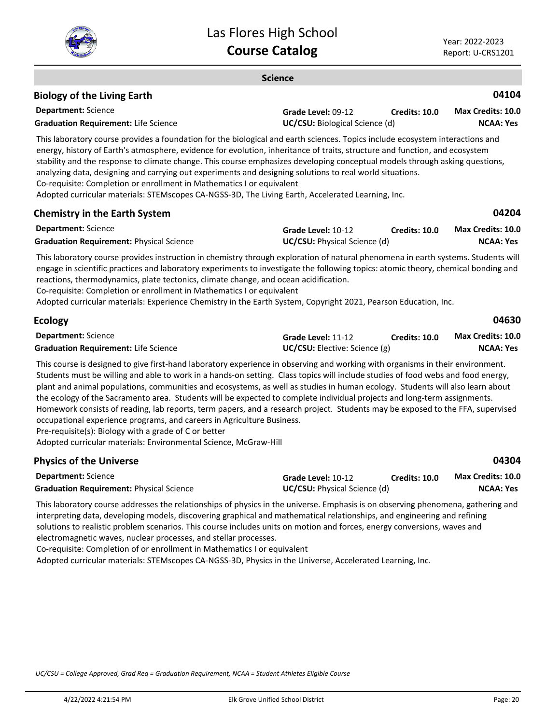

**Science**

#### **Department:** Science **04104** This laboratory course provides a foundation for the biological and earth sciences. Topics include ecosystem interactions and energy, history of Earth's atmosphere, evidence for evolution, inheritance of traits, structure and function, and ecosystem stability and the response to climate change. This course emphasizes developing conceptual models through asking questions, analyzing data, designing and carrying out experiments and designing solutions to real world situations. Co-requisite: Completion or enrollment in Mathematics I or equivalent Adopted curricular materials: STEMscopes CA-NGSS-3D, The Living Earth, Accelerated Learning, Inc. **Biology of the Living Earth Grade Level:** 09-12 **Graduation Requirement:** Life Science **UC/CSU:** Biological Science (d) **Credits: 10.0 NCAA: Yes Max Credits: 10.0 Department:** Science **04204** This laboratory course provides instruction in chemistry through exploration of natural phenomena in earth systems. Students will engage in scientific practices and laboratory experiments to investigate the following topics: atomic theory, chemical bonding and reactions, thermodynamics, plate tectonics, climate change, and ocean acidification. Co-requisite: Completion or enrollment in Mathematics I or equivalent Adopted curricular materials: Experience Chemistry in the Earth System, Copyright 2021, Pearson Education, Inc. **Chemistry in the Earth System Grade Level:** 10-12 **Graduation Requirement:** Physical Science **UC/CSU:** Physical Science (d) **Credits: 10.0 NCAA: Yes Max Credits: 10.0 Department:** Science **04630** This course is designed to give first-hand laboratory experience in observing and working with organisms in their environment. **Ecology Grade Level:** 11-12 **Graduation Requirement:** Life Science **UC/CSU:** Elective: Science (g) **Credits: 10.0 NCAA: Yes Max Credits: 10.0**

Students must be willing and able to work in a hands-on setting. Class topics will include studies of food webs and food energy, plant and animal populations, communities and ecosystems, as well as studies in human ecology. Students will also learn about the ecology of the Sacramento area. Students will be expected to complete individual projects and long-term assignments. Homework consists of reading, lab reports, term papers, and a research project. Students may be exposed to the FFA, supervised occupational experience programs, and careers in Agriculture Business.

Pre-requisite(s): Biology with a grade of C or better

Adopted curricular materials: Environmental Science, McGraw-Hill

| <b>Physics of the Universe</b>                  |                                     |               | 04304                    |
|-------------------------------------------------|-------------------------------------|---------------|--------------------------|
| <b>Department:</b> Science                      | Grade Level: 10-12                  | Credits: 10.0 | <b>Max Credits: 10.0</b> |
| <b>Graduation Requirement: Physical Science</b> | <b>UC/CSU:</b> Physical Science (d) |               | NCAA: Yes                |

This laboratory course addresses the relationships of physics in the universe. Emphasis is on observing phenomena, gathering and interpreting data, developing models, discovering graphical and mathematical relationships, and engineering and refining solutions to realistic problem scenarios. This course includes units on motion and forces, energy conversions, waves and electromagnetic waves, nuclear processes, and stellar processes.

Co-requisite: Completion of or enrollment in Mathematics I or equivalent

Adopted curricular materials: STEMscopes CA-NGSS-3D, Physics in the Universe, Accelerated Learning, Inc.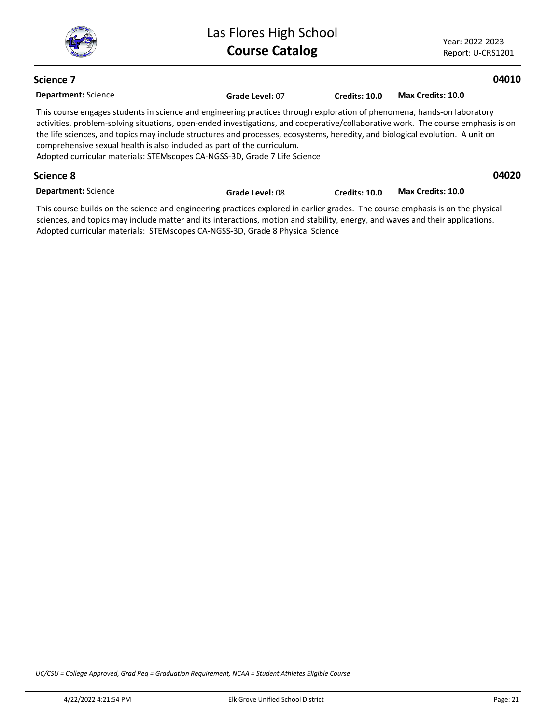Year: 2022-2023 Report: U-CRS1201

# **Science 7**

# **04010**

| <b>Department: Science</b>                                                                                                                                                                                                                                                                                                                                                                                                                                                                                                                           | Grade Level: 07 | <b>Credits: 10.0</b> | Max Credits: 10.0 |       |
|------------------------------------------------------------------------------------------------------------------------------------------------------------------------------------------------------------------------------------------------------------------------------------------------------------------------------------------------------------------------------------------------------------------------------------------------------------------------------------------------------------------------------------------------------|-----------------|----------------------|-------------------|-------|
| This course engages students in science and engineering practices through exploration of phenomena, hands-on laboratory<br>activities, problem-solving situations, open-ended investigations, and cooperative/collaborative work. The course emphasis is on<br>the life sciences, and topics may include structures and processes, ecosystems, heredity, and biological evolution. A unit on<br>comprehensive sexual health is also included as part of the curriculum.<br>Adopted curricular materials: STEMscopes CA-NGSS-3D, Grade 7 Life Science |                 |                      |                   |       |
| Science 8                                                                                                                                                                                                                                                                                                                                                                                                                                                                                                                                            |                 |                      |                   | 04020 |
| <b>Department: Science</b>                                                                                                                                                                                                                                                                                                                                                                                                                                                                                                                           | Grade Level: 08 | Credits: 10.0        | Max Credits: 10.0 |       |

This course builds on the science and engineering practices explored in earlier grades. The course emphasis is on the physical sciences, and topics may include matter and its interactions, motion and stability, energy, and waves and their applications. Adopted curricular materials: STEMscopes CA-NGSS-3D, Grade 8 Physical Science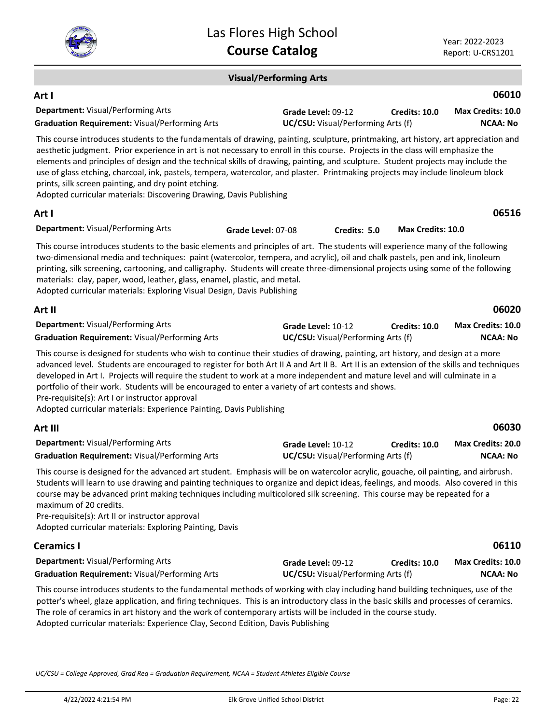

# **Visual/Performing Arts**

| Art I                                                                                                                                                                                                                                                                                                                                                                                                                                                                                                                                                                                                                                                                        |                    |                                                          |                      | 06010                                |
|------------------------------------------------------------------------------------------------------------------------------------------------------------------------------------------------------------------------------------------------------------------------------------------------------------------------------------------------------------------------------------------------------------------------------------------------------------------------------------------------------------------------------------------------------------------------------------------------------------------------------------------------------------------------------|--------------------|----------------------------------------------------------|----------------------|--------------------------------------|
| Department: Visual/Performing Arts<br><b>Graduation Requirement: Visual/Performing Arts</b>                                                                                                                                                                                                                                                                                                                                                                                                                                                                                                                                                                                  |                    | Grade Level: 09-12<br>UC/CSU: Visual/Performing Arts (f) | Credits: 10.0        | Max Credits: 10.0<br><b>NCAA: No</b> |
| This course introduces students to the fundamentals of drawing, painting, sculpture, printmaking, art history, art appreciation and<br>aesthetic judgment. Prior experience in art is not necessary to enroll in this course. Projects in the class will emphasize the<br>elements and principles of design and the technical skills of drawing, painting, and sculpture. Student projects may include the<br>use of glass etching, charcoal, ink, pastels, tempera, watercolor, and plaster. Printmaking projects may include linoleum block<br>prints, silk screen painting, and dry point etching.<br>Adopted curricular materials: Discovering Drawing, Davis Publishing |                    |                                                          |                      |                                      |
| Art I                                                                                                                                                                                                                                                                                                                                                                                                                                                                                                                                                                                                                                                                        |                    |                                                          |                      | 06516                                |
| Department: Visual/Performing Arts                                                                                                                                                                                                                                                                                                                                                                                                                                                                                                                                                                                                                                           | Grade Level: 07-08 | Credits: 5.0                                             | Max Credits: 10.0    |                                      |
| This course introduces students to the basic elements and principles of art. The students will experience many of the following<br>two-dimensional media and techniques: paint (watercolor, tempera, and acrylic), oil and chalk pastels, pen and ink, linoleum<br>printing, silk screening, cartooning, and calligraphy. Students will create three-dimensional projects using some of the following<br>materials: clay, paper, wood, leather, glass, enamel, plastic, and metal.<br>Adopted curricular materials: Exploring Visual Design, Davis Publishing                                                                                                                |                    |                                                          |                      |                                      |
| Art II                                                                                                                                                                                                                                                                                                                                                                                                                                                                                                                                                                                                                                                                       |                    |                                                          |                      | 06020                                |
| Department: Visual/Performing Arts<br><b>Graduation Requirement: Visual/Performing Arts</b>                                                                                                                                                                                                                                                                                                                                                                                                                                                                                                                                                                                  |                    | Grade Level: 10-12<br>UC/CSU: Visual/Performing Arts (f) | <b>Credits: 10.0</b> | Max Credits: 10.0<br><b>NCAA: No</b> |
| This course is designed for students who wish to continue their studies of drawing, painting, art history, and design at a more<br>advanced level. Students are encouraged to register for both Art II A and Art II B. Art II is an extension of the skills and techniques<br>developed in Art I. Projects will require the student to work at a more independent and mature level and will culminate in a<br>portfolio of their work. Students will be encouraged to enter a variety of art contests and shows.<br>Pre-requisite(s): Art I or instructor approval<br>Adopted curricular materials: Experience Painting, Davis Publishing                                    |                    |                                                          |                      |                                      |
| Art III                                                                                                                                                                                                                                                                                                                                                                                                                                                                                                                                                                                                                                                                      |                    |                                                          |                      | 06030                                |
| Department: Visual/Performing Arts<br><b>Graduation Requirement: Visual/Performing Arts</b>                                                                                                                                                                                                                                                                                                                                                                                                                                                                                                                                                                                  |                    | Grade Level: 10-12<br>UC/CSU: Visual/Performing Arts (f) | <b>Credits: 10.0</b> | Max Credits: 20.0<br><b>NCAA: No</b> |
| This course is designed for the advanced art student. Emphasis will be on watercolor acrylic, gouache, oil painting, and airbrush.<br>Students will learn to use drawing and painting techniques to organize and depict ideas, feelings, and moods. Also covered in this<br>course may be advanced print making techniques including multicolored silk screening. This course may be repeated for a<br>maximum of 20 credits.<br>Pre-requisite(s): Art II or instructor approval<br>Adopted curricular materials: Exploring Painting, Davis                                                                                                                                  |                    |                                                          |                      |                                      |
| <b>Ceramics I</b>                                                                                                                                                                                                                                                                                                                                                                                                                                                                                                                                                                                                                                                            |                    |                                                          |                      | 06110                                |
| Department: Visual/Performing Arts<br><b>Graduation Requirement: Visual/Performing Arts</b>                                                                                                                                                                                                                                                                                                                                                                                                                                                                                                                                                                                  |                    | Grade Level: 09-12<br>UC/CSU: Visual/Performing Arts (f) | Credits: 10.0        | Max Credits: 10.0<br><b>NCAA: No</b> |
| This course introduces students to the fundamental methods of working with clay including hand building techniques, use of the<br>potter's wheel, glaze application, and firing techniques. This is an introductory class in the basic skills and processes of ceramics.<br>The role of ceramics in art history and the work of contemporary artists will be included in the course study.                                                                                                                                                                                                                                                                                   |                    |                                                          |                      |                                      |

Adopted curricular materials: Experience Clay, Second Edition, Davis Publishing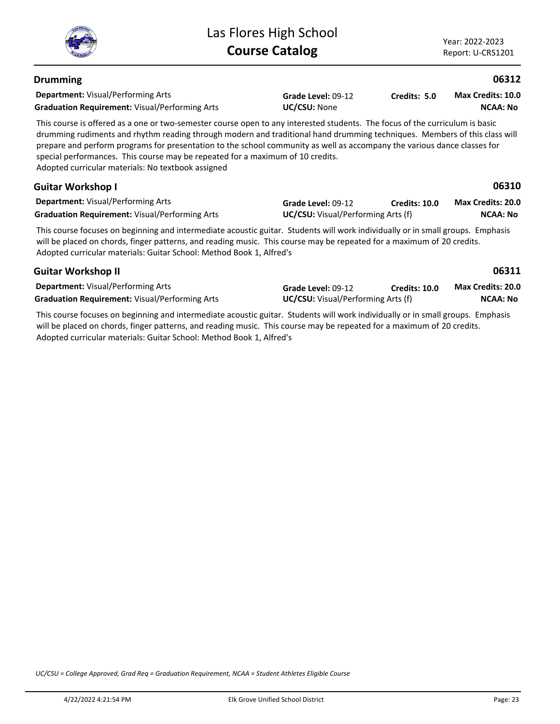

**NCAA: No**

| <b>Drumming</b>                                                                                                                                                                                                                                                                                                                                                                                                                                                                                                               |                                                                 |                      | 06312                                       |  |  |
|-------------------------------------------------------------------------------------------------------------------------------------------------------------------------------------------------------------------------------------------------------------------------------------------------------------------------------------------------------------------------------------------------------------------------------------------------------------------------------------------------------------------------------|-----------------------------------------------------------------|----------------------|---------------------------------------------|--|--|
| <b>Department:</b> Visual/Performing Arts<br><b>Graduation Requirement: Visual/Performing Arts</b>                                                                                                                                                                                                                                                                                                                                                                                                                            | Grade Level: 09-12<br>UC/CSU: None                              | Credits: 5.0         | <b>Max Credits: 10.0</b><br><b>NCAA: No</b> |  |  |
| This course is offered as a one or two-semester course open to any interested students. The focus of the curriculum is basic<br>drumming rudiments and rhythm reading through modern and traditional hand drumming techniques. Members of this class will<br>prepare and perform programs for presentation to the school community as well as accompany the various dance classes for<br>special performances. This course may be repeated for a maximum of 10 credits.<br>Adopted curricular materials: No textbook assigned |                                                                 |                      |                                             |  |  |
| <b>Guitar Workshop I</b>                                                                                                                                                                                                                                                                                                                                                                                                                                                                                                      |                                                                 |                      | 06310                                       |  |  |
| <b>Department:</b> Visual/Performing Arts<br><b>Graduation Requirement: Visual/Performing Arts</b>                                                                                                                                                                                                                                                                                                                                                                                                                            | Grade Level: 09-12<br><b>UC/CSU:</b> Visual/Performing Arts (f) | <b>Credits: 10.0</b> | Max Credits: 20.0<br><b>NCAA: No</b>        |  |  |
| This course focuses on beginning and intermediate acoustic guitar. Students will work individually or in small groups. Emphasis<br>will be placed on chords, finger patterns, and reading music. This course may be repeated for a maximum of 20 credits.<br>Adopted curricular materials: Guitar School: Method Book 1, Alfred's                                                                                                                                                                                             |                                                                 |                      |                                             |  |  |
| <b>Guitar Workshop II</b>                                                                                                                                                                                                                                                                                                                                                                                                                                                                                                     |                                                                 |                      | 06311                                       |  |  |
| <b>Department:</b> Visual/Performing Arts                                                                                                                                                                                                                                                                                                                                                                                                                                                                                     | Grade Level: 09-12                                              | Credits: 10.0        | <b>Max Credits: 20.0</b>                    |  |  |

**Graduation Requirement:** Visual/Performing Arts **UC/CSU:** Visual/Performing Arts (f)

This course focuses on beginning and intermediate acoustic guitar. Students will work individually or in small groups. Emphasis will be placed on chords, finger patterns, and reading music. This course may be repeated for a maximum of 20 credits. Adopted curricular materials: Guitar School: Method Book 1, Alfred's